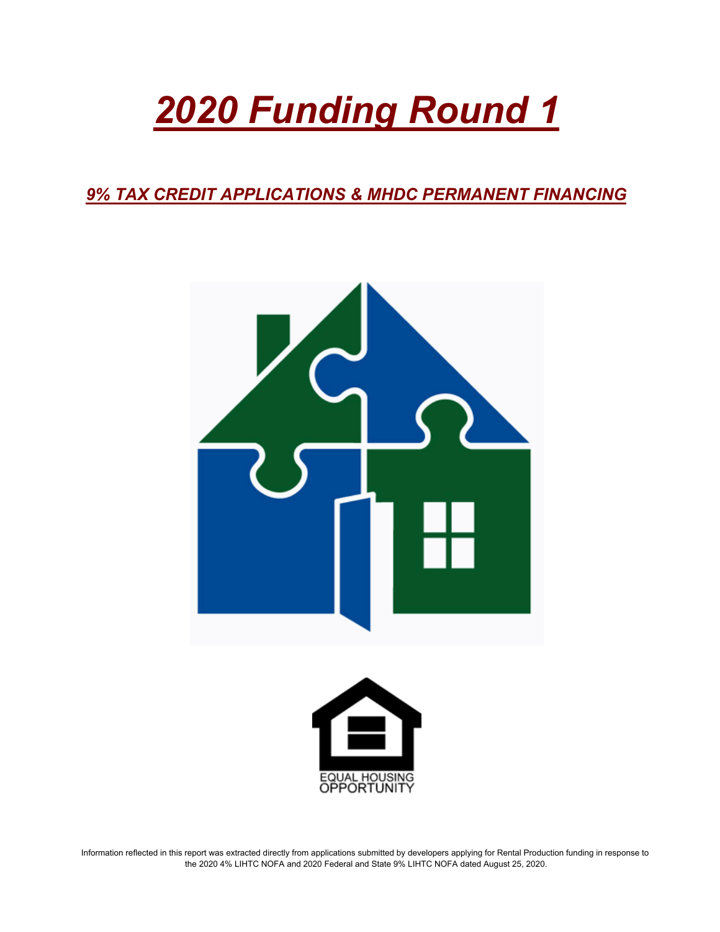# *2020 Funding Round 1*

*9% TAX CREDIT APPLICATIONS & MHDC PERMANENT FINANCING*





Information reflected in this report was extracted directly from applications submitted by developers applying for Rental Production funding in response to the 2020 4% LIHTC NOFA and 2020 Federal and State 9% LIHTC NOFA dated August 25, 2020.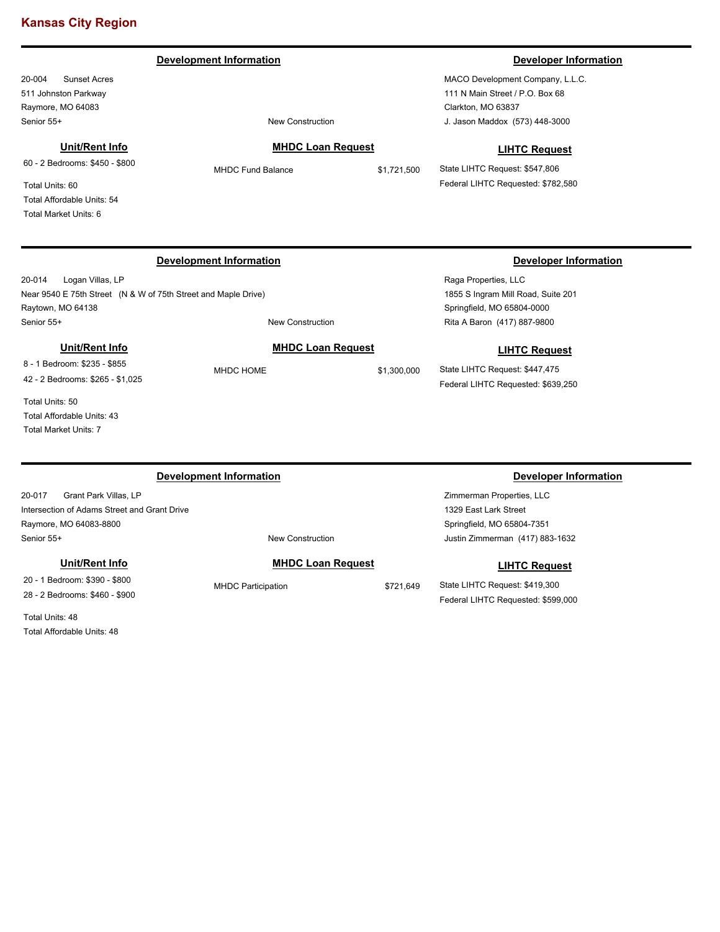**Development Information Developer Information** 

20-004 Sunset Acres 511 Johnston Parkway Raymore, MO 64083 Senior 55+ New Construction

**Unit/Rent Info**

60 - 2 Bedrooms: \$450 - \$800

Total Units: 60 Total Affordable Units: 54 Total Market Units: 6

MHDC Fund Balance \$1,721,500

**MHDC Loan Request**

MACO Development Company, L.L.C. 111 N Main Street / P.O. Box 68 Clarkton, MO 63837 J. Jason Maddox (573) 448-3000

#### **LIHTC Request**

State LIHTC Request: \$547,806 Federal LIHTC Requested: \$782,580

### **Development Information Developer Information**

20-014 Logan Villas, LP Near 9540 E 75th Street (N & W of 75th Street and Maple Drive) Raytown, MO 64138 Senior 55+ New Construction

#### **Unit/Rent Info**

8 - 1 Bedroom: \$235 - \$855 42 - 2 Bedrooms: \$265 - \$1,025

Total Units: 50 Total Affordable Units: 43 Total Market Units: 7

#### **Development Information Developer Information**

20-017 Grant Park Villas, LP Intersection of Adams Street and Grant Drive Raymore, MO 64083-8800 Senior 55+ New Construction

### **Unit/Rent Info**

20 - 1 Bedroom: \$390 - \$800 28 - 2 Bedrooms: \$460 - \$900

Total Units: 48 Total Affordable Units: 48

# **MHDC Loan Request**

Raga Properties, LLC 1855 S Ingram Mill Road, Suite 201 Springfield, MO 65804-0000 Rita A Baron (417) 887-9800

### **LIHTC Request**

State LIHTC Request: \$447,475 Federal LIHTC Requested: \$639,250

Zimmerman Properties, LLC 1329 East Lark Street Springfield, MO 65804-7351 Justin Zimmerman (417) 883-1632

#### **LIHTC Request**

State LIHTC Request: \$419,300 Federal LIHTC Requested: \$599,000

### **MHDC Loan Request**

MHDC Participation  $$721,649$ 

MHDC HOME \$1,300,000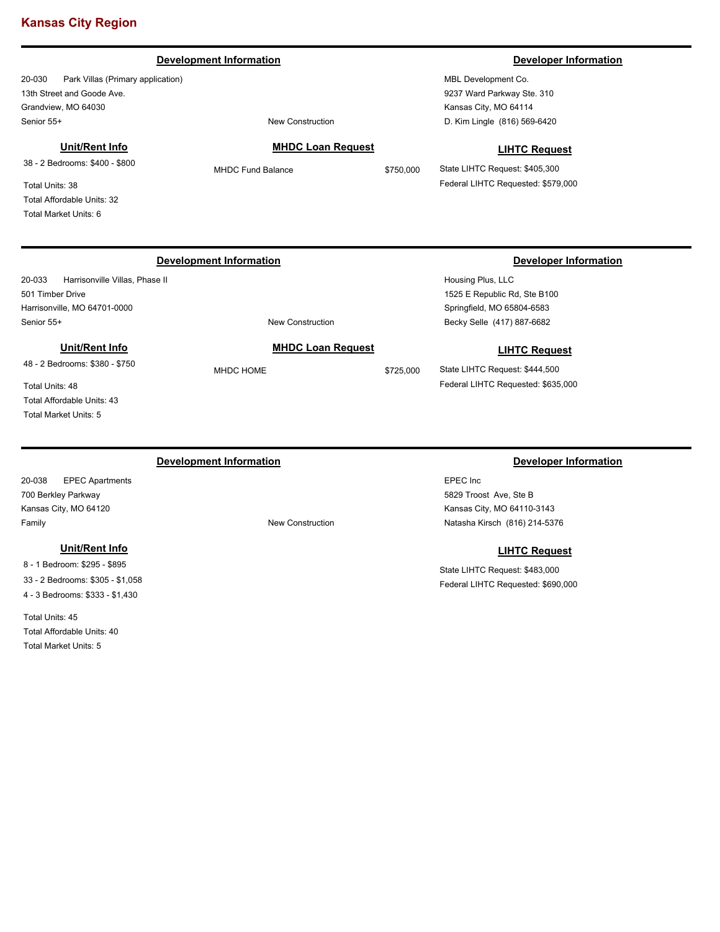#### **Development Information Developer Information**

20-030 Park Villas (Primary application) 13th Street and Goode Ave. Grandview, MO 64030 Senior 55+ New Construction

#### **Unit/Rent Info**

38 - 2 Bedrooms: \$400 - \$800

Total Units: 38 Total Affordable Units: 32 Total Market Units: 6

**MHDC Loan Request**

MBL Development Co. 9237 Ward Parkway Ste. 310 Kansas City, MO 64114 D. Kim Lingle (816) 569-6420

### **LIHTC Request**

State LIHTC Request: \$405,300 Federal LIHTC Requested: \$579,000

20-033 Harrisonville Villas, Phase II 501 Timber Drive Harrisonville, MO 64701-0000 Senior 55+ New Construction

#### **Unit/Rent Info**

48 - 2 Bedrooms: \$380 - \$750

Total Units: 48 Total Affordable Units: 43 Total Market Units: 5

### **Development Information Developer Information**

20-038 EPEC Apartments 700 Berkley Parkway Kansas City, MO 64120 Family **Family Family New Construction** 

#### **Unit/Rent Info**

8 - 1 Bedroom: \$295 - \$895 33 - 2 Bedrooms: \$305 - \$1,058 4 - 3 Bedrooms: \$333 - \$1,430

Total Units: 45 Total Affordable Units: 40 Total Market Units: 5

MHDC HOME \$725,000

**MHDC Loan Request**

#### **Development Information Developer Information**

Housing Plus, LLC 1525 E Republic Rd, Ste B100 Springfield, MO 65804-6583 Becky Selle (417) 887-6682

### **LIHTC Request**

State LIHTC Request: \$444,500 Federal LIHTC Requested: \$635,000

EPEC Inc 5829 Troost Ave, Ste B Kansas City, MO 64110-3143 Natasha Kirsch (816) 214-5376

#### **LIHTC Request**

State LIHTC Request: \$483,000 Federal LIHTC Requested: \$690,000

MHDC Fund Balance \$750,000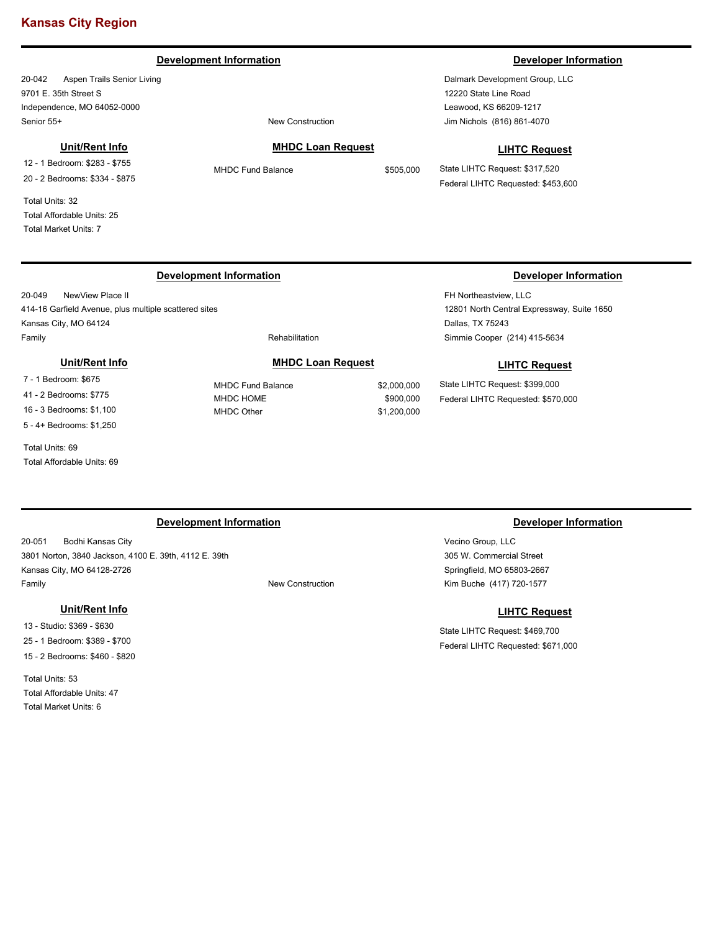#### **Development Information Developer Information**

20-042 Aspen Trails Senior Living 9701 E. 35th Street S Independence, MO 64052-0000 Senior 55+ New Construction

#### **Unit/Rent Info**

12 - 1 Bedroom: \$283 - \$755 20 - 2 Bedrooms: \$334 - \$875

Total Units: 32 Total Affordable Units: 25 Total Market Units: 7

#### **MHDC Loan Request**

MHDC Fund Balance \$505,000

Dalmark Development Group, LLC 12220 State Line Road Leawood, KS 66209-1217 Jim Nichols (816) 861-4070

#### **LIHTC Request**

State LIHTC Request: \$317,520 Federal LIHTC Requested: \$453,600

20-049 NewView Place II 414-16 Garfield Avenue, plus multiple scattered sites Kansas City, MO 64124 Family **Family Rehabilitation** 

**Unit/Rent Info**

7 - 1 Bedroom: \$675 41 - 2 Bedrooms: \$775 16 - 3 Bedrooms: \$1,100 5 - 4+ Bedrooms: \$1,250

Total Units: 69

Total Affordable Units: 69

### **MHDC Loan Request**

MHDC Fund Balance \$2,000,000 MHDC HOME \$900,000 MHDC Other \$1,200,000

#### **Development Information Developer Information**

FH Northeastview, LLC 12801 North Central Expressway, Suite 1650 Dallas, TX 75243 Simmie Cooper (214) 415-5634

#### **LIHTC Request**

State LIHTC Request: \$399,000 Federal LIHTC Requested: \$570,000

#### **Development Information Developer Information**

20-051 Bodhi Kansas City 3801 Norton, 3840 Jackson, 4100 E. 39th, 4112 E. 39th Kansas City, MO 64128-2726 Family **Family Example 2018** The Construction **New Construction** 

### **Unit/Rent Info**

13 - Studio: \$369 - \$630 25 - 1 Bedroom: \$389 - \$700 15 - 2 Bedrooms: \$460 - \$820

Total Units: 53 Total Affordable Units: 47 Total Market Units: 6

Vecino Group, LLC 305 W. Commercial Street Springfield, MO 65803-2667 Kim Buche (417) 720-1577

#### **LIHTC Request**

State LIHTC Request: \$469,700 Federal LIHTC Requested: \$671,000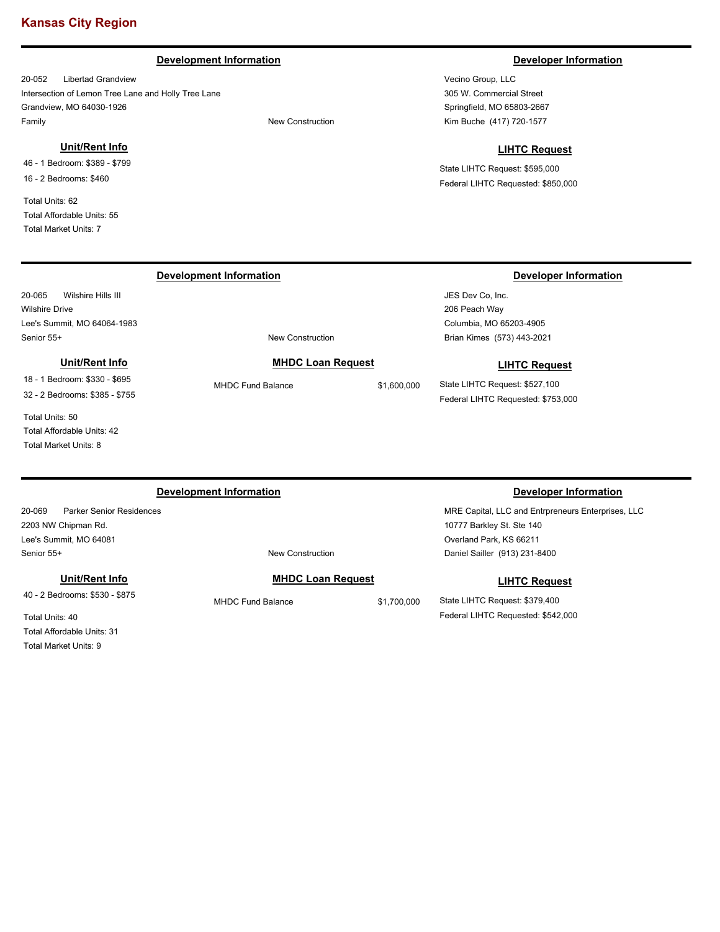#### **Development Information Developer Information**

20-052 Libertad Grandview Intersection of Lemon Tree Lane and Holly Tree Lane Grandview, MO 64030-1926 Family **Family Family New Construction** 

#### **Unit/Rent Info**

46 - 1 Bedroom: \$389 - \$799 16 - 2 Bedrooms: \$460

Total Units: 62 Total Affordable Units: 55 Total Market Units: 7

20-065 Wilshire Hills III

Lee's Summit, MO 64064-1983

**Unit/Rent Info** 18 - 1 Bedroom: \$330 - \$695 32 - 2 Bedrooms: \$385 - \$755

Wilshire Drive

Vecino Group, LLC 305 W. Commercial Street Springfield, MO 65803-2667 Kim Buche (417) 720-1577

#### **LIHTC Request**

State LIHTC Request: \$595,000 Federal LIHTC Requested: \$850,000

#### **Development Information Developer Information**

JES Dev Co, Inc. 206 Peach Way Columbia, MO 65203-4905 Brian Kimes (573) 443-2021

#### **LIHTC Request**

State LIHTC Request: \$527,100 Federal LIHTC Requested: \$753,000

Total Units: 50 Total Affordable Units: 42 Total Market Units: 8

### **Development Information Developer Information**

Senior 55+ New Construction

20-069 Parker Senior Residences 2203 NW Chipman Rd. Lee's Summit, MO 64081 Senior 55+ New Construction

#### **Unit/Rent Info**

40 - 2 Bedrooms: \$530 - \$875

Total Units: 40 Total Affordable Units: 31 Total Market Units: 9

### **MHDC Loan Request**

MHDC Fund Balance \$1,700,000

MRE Capital, LLC and Entrpreneurs Enterprises, LLC 10777 Barkley St. Ste 140 Overland Park, KS 66211 Daniel Sailler (913) 231-8400

### **LIHTC Request**

State LIHTC Request: \$379,400 Federal LIHTC Requested: \$542,000

**MHDC Loan Request** MHDC Fund Balance \$1,600,000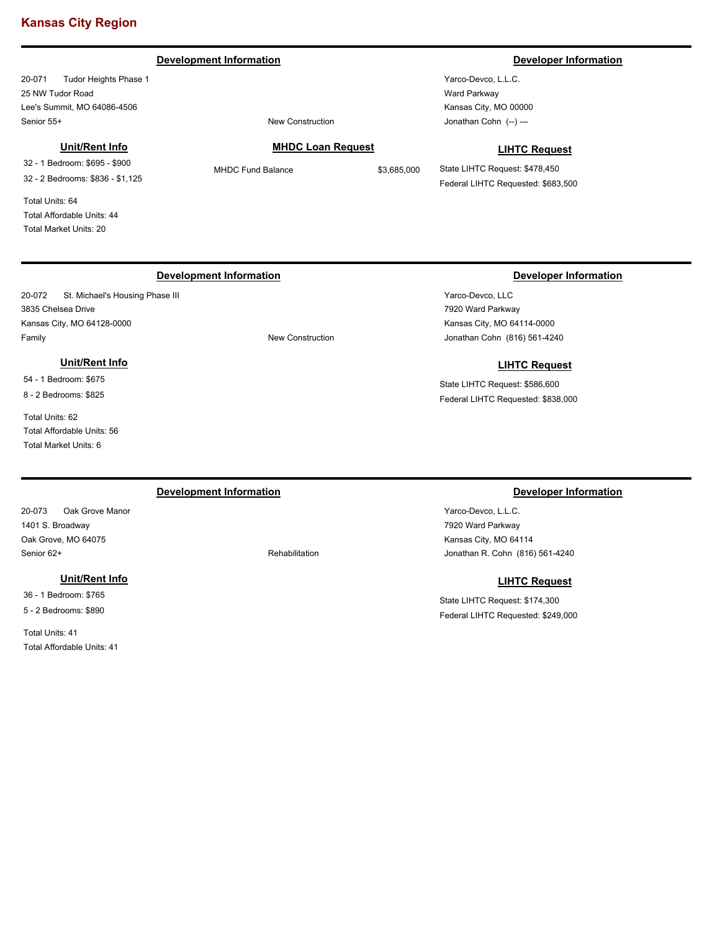#### **Development Information Developer Information**

20-071 Tudor Heights Phase 1 25 NW Tudor Road Lee's Summit, MO 64086-4506 Senior 55+ New Construction

#### **Unit/Rent Info**

32 - 1 Bedroom: \$695 - \$900 32 - 2 Bedrooms: \$836 - \$1,125

Total Units: 64 Total Affordable Units: 44 Total Market Units: 20

#### **MHDC Loan Request**

MHDC Fund Balance \$3,685,000

Yarco-Devco, L.L.C. Ward Parkway Kansas City, MO 00000 Jonathan Cohn (--) ---

Yarco-Devco, LLC 7920 Ward Parkway Kansas City, MO 64114-0000

#### **LIHTC Request**

State LIHTC Request: \$478,450 Federal LIHTC Requested: \$683,500

### **Development Information Developer Information**

20-072 St. Michael's Housing Phase III 3835 Chelsea Drive Kansas City, MO 64128-0000 Family **Family New Construction** 

### **Unit/Rent Info**

54 - 1 Bedroom: \$675 8 - 2 Bedrooms: \$825

Total Units: 62 Total Affordable Units: 56 Total Market Units: 6

20-073 Oak Grove Manor 1401 S. Broadway Oak Grove, MO 64075 Senior 62+ Rehabilitation

#### **Unit/Rent Info**

36 - 1 Bedroom: \$765 5 - 2 Bedrooms: \$890

Total Units: 41 Total Affordable Units: 41

# Jonathan Cohn (816) 561-4240

# State LIHTC Request: \$586,600

**LIHTC Request**

Federal LIHTC Requested: \$838,000

### **Development Information Developer Information**

Yarco-Devco, L.L.C. 7920 Ward Parkway Kansas City, MO 64114 Jonathan R. Cohn (816) 561-4240

#### **LIHTC Request**

State LIHTC Request: \$174,300 Federal LIHTC Requested: \$249,000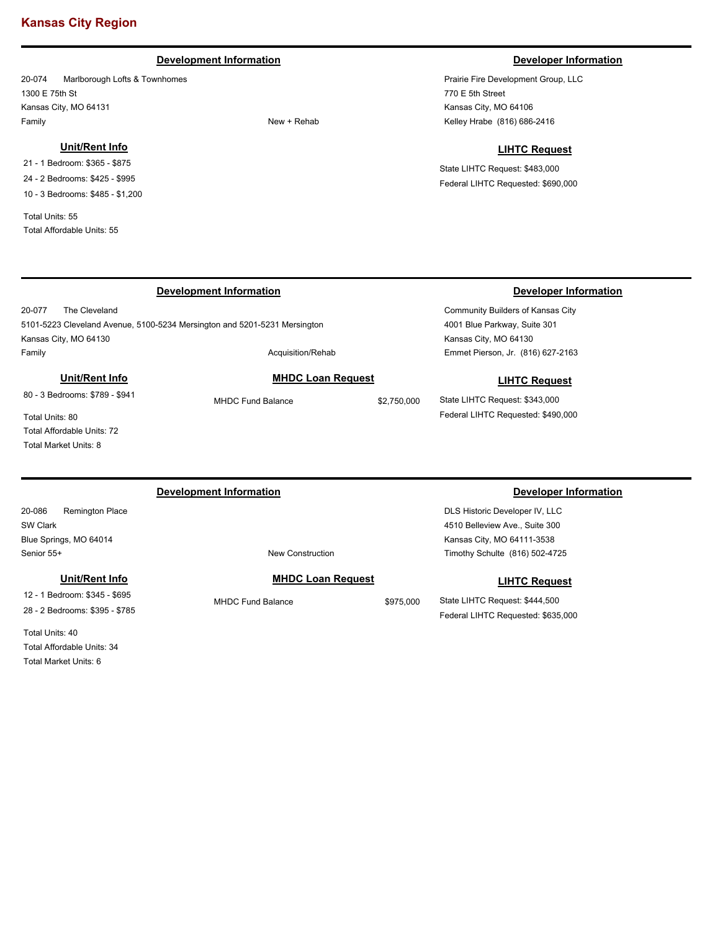### **Development Information Developer Information**

20-074 Marlborough Lofts & Townhomes 1300 E 75th St Kansas City, MO 64131 Family New + Rehab

#### **Unit/Rent Info**

21 - 1 Bedroom: \$365 - \$875 24 - 2 Bedrooms: \$425 - \$995 10 - 3 Bedrooms: \$485 - \$1,200

Total Units: 55 Total Affordable Units: 55

20-077 The Cleveland

Kansas City, MO 64130

Prairie Fire Development Group, LLC 770 E 5th Street Kansas City, MO 64106 Kelley Hrabe (816) 686-2416

#### **LIHTC Request**

State LIHTC Request: \$483,000 Federal LIHTC Requested: \$690,000

### **Development Information Developer Information**

Community Builders of Kansas City 4001 Blue Parkway, Suite 301 Kansas City, MO 64130 Emmet Pierson, Jr. (816) 627-2163

#### **LIHTC Request**

State LIHTC Request: \$343,000 Federal LIHTC Requested: \$490,000

**Unit/Rent Info** 80 - 3 Bedrooms: \$789 - \$941

Total Units: 80 Total Affordable Units: 72 Total Market Units: 8

### **Development Information Developer Information**

5101-5223 Cleveland Avenue, 5100-5234 Mersington and 5201-5231 Mersington

20-086 Remington Place SW Clark Blue Springs, MO 64014 Senior 55+ New Construction

**Unit/Rent Info**

12 - 1 Bedroom: \$345 - \$695 28 - 2 Bedrooms: \$395 - \$785

Total Units: 40 Total Affordable Units: 34 Total Market Units: 6

### **MHDC Loan Request**

MHDC Fund Balance \$975,000

DLS Historic Developer IV, LLC 4510 Belleview Ave., Suite 300 Kansas City, MO 64111-3538 Timothy Schulte (816) 502-4725

**LIHTC Request**

State LIHTC Request: \$444,500 Federal LIHTC Requested: \$635,000

Family **Acquisition/Rehab** 

### **MHDC Loan Request**

MHDC Fund Balance \$2,750,000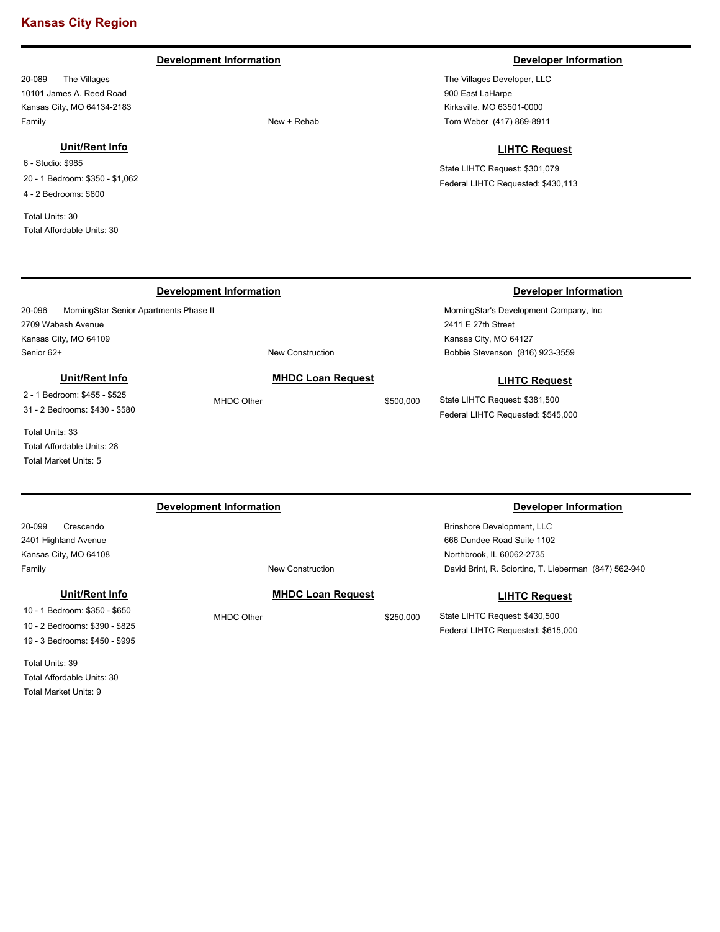### **Development Information Developer Information**

20-089 The Villages 10101 James A. Reed Road Kansas City, MO 64134-2183 Family New + Rehab

### **Unit/Rent Info**

20-096 MorningStar Senior Apartments Phase II

**Unit/Rent Info**

2 - 1 Bedroom: \$455 - \$525 31 - 2 Bedrooms: \$430 - \$580

Total Affordable Units: 28 Total Market Units: 5

Total Units: 33

Senior 62+ New Construction

6 - Studio: \$985 20 - 1 Bedroom: \$350 - \$1,062 4 - 2 Bedrooms: \$600

Total Units: 30 Total Affordable Units: 30

2709 Wabash Avenue Kansas City, MO 64109

The Villages Developer, LLC 900 East LaHarpe Kirksville, MO 63501-0000 Tom Weber (417) 869-8911

#### **LIHTC Request**

State LIHTC Request: \$301,079 Federal LIHTC Requested: \$430,113

### **Development Information Developer Information**

MorningStar's Development Company, Inc 2411 E 27th Street Kansas City, MO 64127 Bobbie Stevenson (816) 923-3559

#### **LIHTC Request**

State LIHTC Request: \$381,500 Federal LIHTC Requested: \$545,000

20-099 Crescendo 2401 Highland Avenue Kansas City, MO 64108 Brinshore Development, LLC 666 Dundee Road Suite 1102 Northbrook, IL 60062-2735 Family **Family Family New Construction Development Information Developer Information** David Brint, R. Sciortino, T. Lieberman (847) 562-9400 **MHDC Loan Request** MHDC Other \$250,000 **LIHTC Request** State LIHTC Request: \$430,500 Federal LIHTC Requested: \$615,000 **Unit/Rent Info** 10 - 1 Bedroom: \$350 - \$650

**MHDC Loan Request** MHDC Other \$500,000

10 - 2 Bedrooms: \$390 - \$825 19 - 3 Bedrooms: \$450 - \$995

Total Units: 39 Total Affordable Units: 30 Total Market Units: 9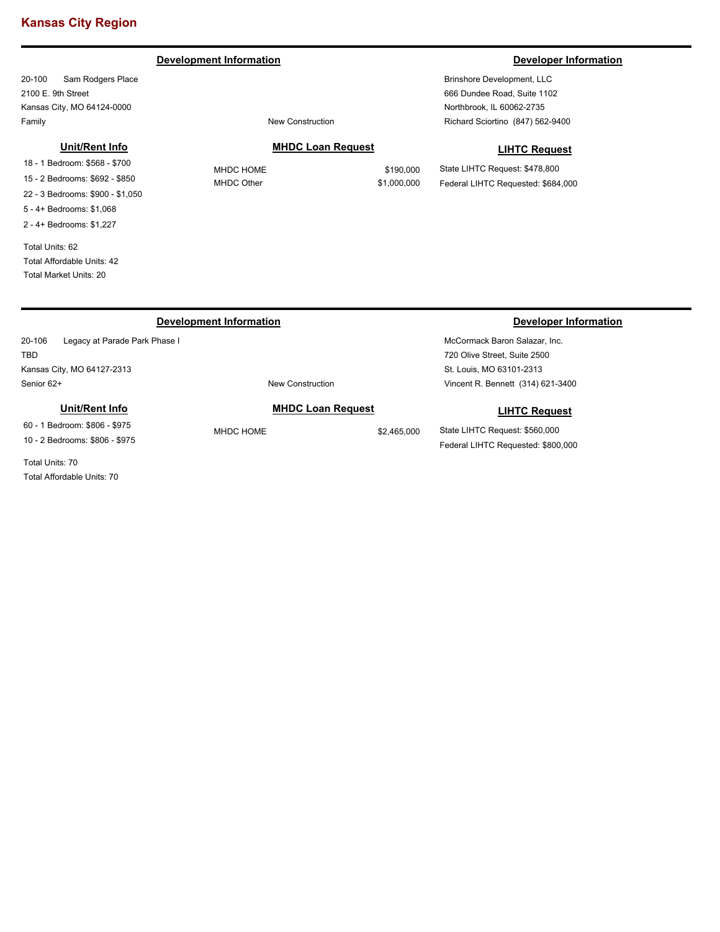#### **Development Information Developer Information Developer Information**

20-100 Sam Rodgers Place 2100 E. 9th Street Kansas City, MO 64124-0000 Family **Family Family New Construction** 

#### **Unit/Rent Info**

18 - 1 Bedroom: \$568 - \$700 15 - 2 Bedrooms: \$692 - \$850 22 - 3 Bedrooms: \$900 - \$1,050 5 - 4+ Bedrooms: \$1,068 2 - 4+ Bedrooms: \$1,227

Total Units: 62 Total Affordable Units: 42 Total Market Units: 20

#### **MHDC Loan Request**

MHDC HOME \$190,000 MHDC Other \$1,000,000

State LIHTC Request: \$478,800 Federal LIHTC Requested: \$684,000

### **Development Information Developer Information**

20-106 Legacy at Parade Park Phase I TBD Kansas City, MO 64127-2313

#### **Unit/Rent Info**

60 - 1 Bedroom: \$806 - \$975 10 - 2 Bedrooms: \$806 - \$975

Total Units: 70 Total Affordable Units: 70

# McCormack Baron Salazar, Inc.

720 Olive Street, Suite 2500 St. Louis, MO 63101-2313 Vincent R. Bennett (314) 621-3400

#### **LIHTC Request**

State LIHTC Request: \$560,000 Federal LIHTC Requested: \$800,000

Brinshore Development, LLC 666 Dundee Road, Suite 1102 Northbrook, IL 60062-2735 Richard Sciortino (847) 562-9400

### **LIHTC Request**

Senior 62+ New Construction **MHDC Loan Request** MHDC HOME \$2,465,000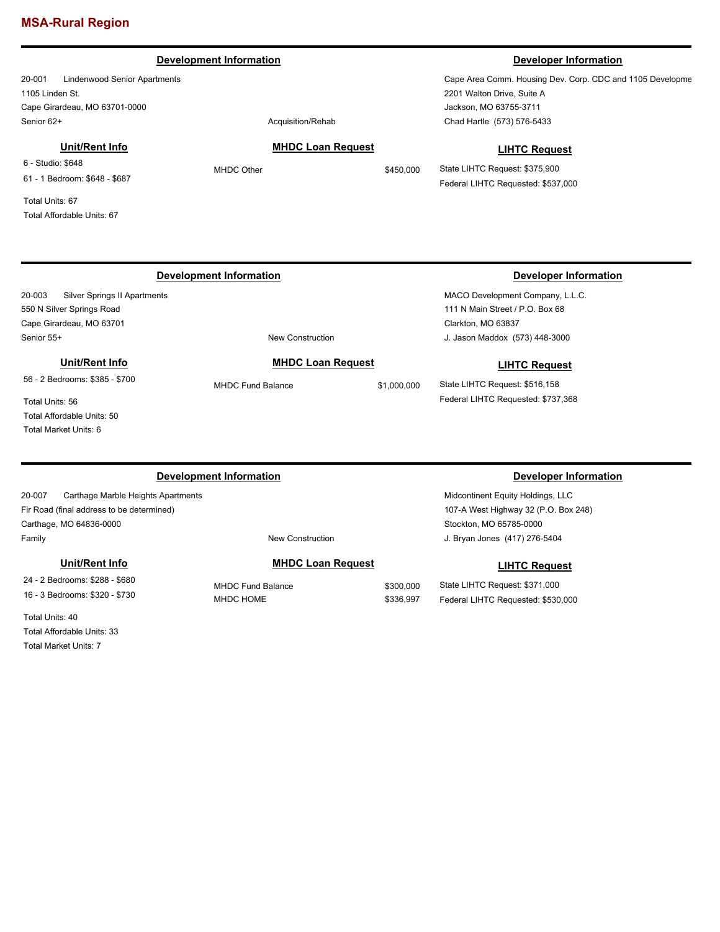#### **Development Information Developer Information**

20-001 Lindenwood Senior Apartments 1105 Linden St. Cape Girardeau, MO 63701-0000 Senior 62+ Acquisition/Rehabition Acquisition/Rehabition

#### **Unit/Rent Info**

6 - Studio: \$648 61 - 1 Bedroom: \$648 - \$687

Total Units: 67 Total Affordable Units: 67

**MHDC Loan Request** MHDC Other \$450,000

Cape Area Comm. Housing Dev. Corp. CDC and 1105 Developme 2201 Walton Drive, Suite A Jackson, MO 63755-3711 Chad Hartle (573) 576-5433

#### **LIHTC Request**

State LIHTC Request: \$375,900 Federal LIHTC Requested: \$537,000

20-003 Silver Springs II Apartments 550 N Silver Springs Road Cape Girardeau, MO 63701 Senior 55+ New Construction

# **Unit/Rent Info**

**MHDC Loan Request**

MHDC Fund Balance \$1,000,000

#### **Development Information Developer Information**

MACO Development Company, L.L.C. 111 N Main Street / P.O. Box 68 Clarkton, MO 63837 J. Jason Maddox (573) 448-3000

#### **LIHTC Request**

State LIHTC Request: \$516,158 Federal LIHTC Requested: \$737,368

Total Units: 56 Total Affordable Units: 50 Total Market Units: 6

56 - 2 Bedrooms: \$385 - \$700

20-007 Carthage Marble Heights Apartments Fir Road (final address to be determined) Carthage, MO 64836-0000 Family **Family Family New Construction** 

### **Unit/Rent Info**

24 - 2 Bedrooms: \$288 - \$680 16 - 3 Bedrooms: \$320 - \$730

Total Units: 40 Total Affordable Units: 33 Total Market Units: 7

### **MHDC Loan Request**

MHDC Fund Balance \$300,000 MHDC HOME \$336,997

### **Development Information Developer Information**

Midcontinent Equity Holdings, LLC 107-A West Highway 32 (P.O. Box 248) Stockton, MO 65785-0000 J. Bryan Jones (417) 276-5404

#### **LIHTC Request**

State LIHTC Request: \$371,000 Federal LIHTC Requested: \$530,000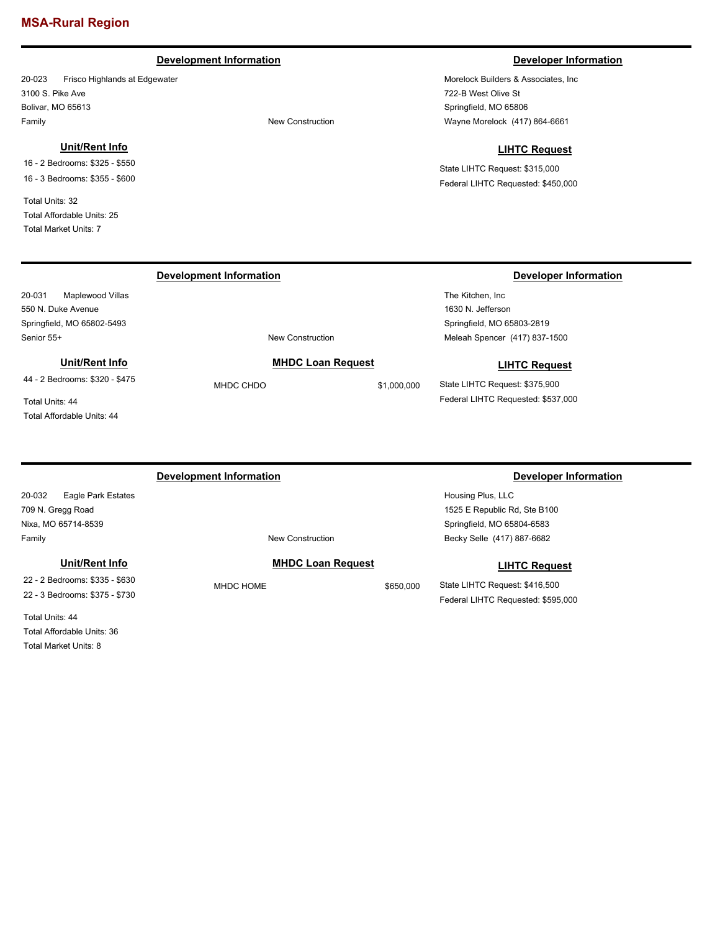### **Development Information Developer Information**

20-023 Frisco Highlands at Edgewater 3100 S. Pike Ave Bolivar, MO 65613 Family **Family Family New Construction** 

#### **Unit/Rent Info**

16 - 2 Bedrooms: \$325 - \$550 16 - 3 Bedrooms: \$355 - \$600

Total Units: 32 Total Affordable Units: 25 Total Market Units: 7

20-031 Maplewood Villas 550 N. Duke Avenue Springfield, MO 65802-5493

Morelock Builders & Associates, Inc 722-B West Olive St Springfield, MO 65806 Wayne Morelock (417) 864-6661

#### **LIHTC Request**

State LIHTC Request: \$315,000 Federal LIHTC Requested: \$450,000

### **Development Information Developer Information**

The Kitchen, Inc 1630 N. Jefferson Springfield, MO 65803-2819 Meleah Spencer (417) 837-1500

#### **LIHTC Request**

State LIHTC Request: \$375,900 Federal LIHTC Requested: \$537,000

Total Units: 44 Total Affordable Units: 44

**Unit/Rent Info** 44 - 2 Bedrooms: \$320 - \$475

20-032 Eagle Park Estates 709 N. Gregg Road Nixa, MO 65714-8539 Family **Family Family New Construction** 

#### **Unit/Rent Info**

22 - 2 Bedrooms: \$335 - \$630 22 - 3 Bedrooms: \$375 - \$730

Total Units: 44 Total Affordable Units: 36 Total Market Units: 8

#### **Development Information Developer Information**

Senior 55+ New Construction

#### **MHDC Loan Request**

**MHDC Loan Request** MHDC CHDO \$1,000,000

MHDC HOME \$650,000

Housing Plus, LLC 1525 E Republic Rd, Ste B100 Springfield, MO 65804-6583 Becky Selle (417) 887-6682

#### **LIHTC Request**

State LIHTC Request: \$416,500 Federal LIHTC Requested: \$595,000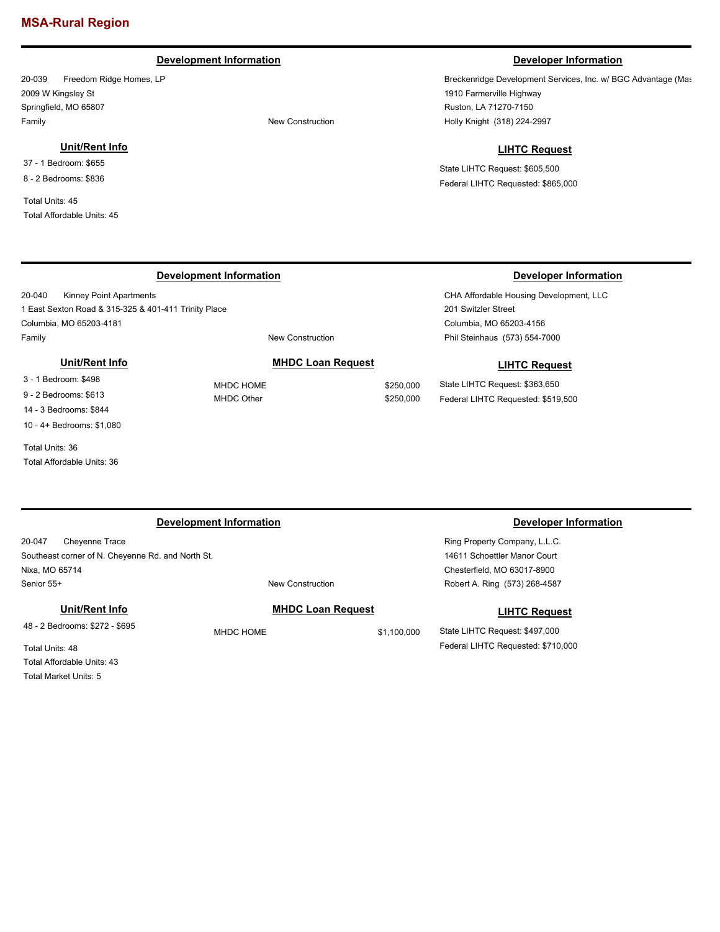### **Development Information Developer Information**

20-039 Freedom Ridge Homes, LP 2009 W Kingsley St Springfield, MO 65807 Family **Family Family New Construction** 

#### **Unit/Rent Info**

37 - 1 Bedroom: \$655 8 - 2 Bedrooms: \$836

Total Units: 45 Total Affordable Units: 45

Breckenridge Development Services, Inc. w/ BGC Advantage (Mas 1910 Farmerville Highway Ruston, LA 71270-7150 Holly Knight (318) 224-2997

#### **LIHTC Request**

CHA Affordable Housing Development, LLC

**LIHTC Request**

201 Switzler Street Columbia, MO 65203-4156

Phil Steinhaus (573) 554-7000

State LIHTC Request: \$363,650 Federal LIHTC Requested: \$519,500

State LIHTC Request: \$605,500 Federal LIHTC Requested: \$865,000

### **Development Information Developer Information**

20-040 Kinney Point Apartments 1 East Sexton Road & 315-325 & 401-411 Trinity Place Columbia, MO 65203-4181 Family **Family New Construction** 

**MHDC Loan Request** MHDC HOME \$250,000 MHDC Other \$250,000

**MHDC Loan Request**

### **Unit/Rent Info**

3 - 1 Bedroom: \$498 9 - 2 Bedrooms: \$613 14 - 3 Bedrooms: \$844 10 - 4+ Bedrooms: \$1,080

Total Units: 36 Total Affordable Units: 36

#### **Development Information Developer Information**

20-047 Cheyenne Trace Southeast corner of N. Cheyenne Rd. and North St. Nixa, MO 65714 Senior 55+ New Construction

**Unit/Rent Info**

48 - 2 Bedrooms: \$272 - \$695

MHDC HOME \$1,100,000

Ring Property Company, L.L.C. 14611 Schoettler Manor Court Chesterfield, MO 63017-8900 Robert A. Ring (573) 268-4587

#### **LIHTC Request**

State LIHTC Request: \$497,000 Federal LIHTC Requested: \$710,000

Total Units: 48 Total Affordable Units: 43

Total Market Units: 5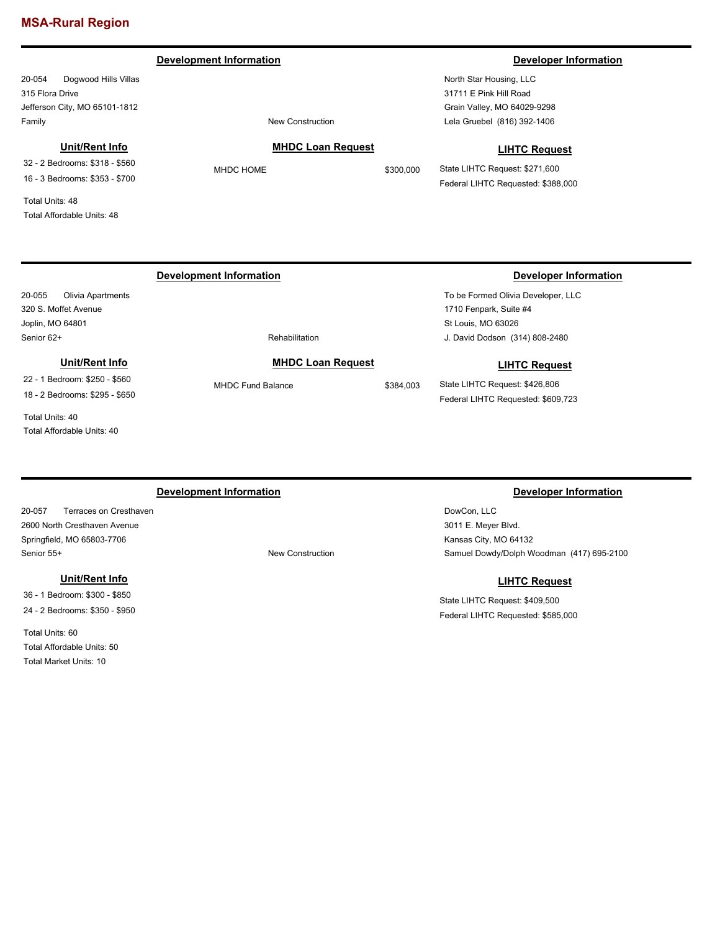#### **Development Information Developer Information**

20-054 Dogwood Hills Villas 315 Flora Drive Jefferson City, MO 65101-1812 Family **Family Family New Construction** 

#### **Unit/Rent Info**

32 - 2 Bedrooms: \$318 - \$560 16 - 3 Bedrooms: \$353 - \$700

Total Units: 48 Total Affordable Units: 48

North Star Housing, LLC 31711 E Pink Hill Road Grain Valley, MO 64029-9298 Lela Gruebel (816) 392-1406

### **MHDC Loan Request**

**LIHTC Request**

State LIHTC Request: \$271,600 Federal LIHTC Requested: \$388,000

#### 20-055 Olivia Apartments 320 S. Moffet Avenue Joplin, MO 64801 To be Formed Olivia Developer, LLC 1710 Fenpark, Suite #4 St Louis, MO 63026 Senior 62+ Rehabilitation **Development Information Developer Information** J. David Dodson (314) 808-2480 **MHDC Loan Request** MHDC Fund Balance \$384,003 **LIHTC Request** State LIHTC Request: \$426,806 Federal LIHTC Requested: \$609,723 **Unit/Rent Info** 22 - 1 Bedroom: \$250 - \$560 18 - 2 Bedrooms: \$295 - \$650

Total Units: 40 Total Affordable Units: 40

20-057 Terraces on Cresthaven 2600 North Cresthaven Avenue Springfield, MO 65803-7706 Senior 55+ New Construction

#### **Unit/Rent Info**

36 - 1 Bedroom: \$300 - \$850 24 - 2 Bedrooms: \$350 - \$950

Total Units: 60 Total Affordable Units: 50 Total Market Units: 10

#### **Development Information Developer Information**

DowCon, LLC 3011 E. Meyer Blvd. Kansas City, MO 64132 Samuel Dowdy/Dolph Woodman (417) 695-2100

### **LIHTC Request**

State LIHTC Request: \$409,500 Federal LIHTC Requested: \$585,000

MHDC HOME \$300,000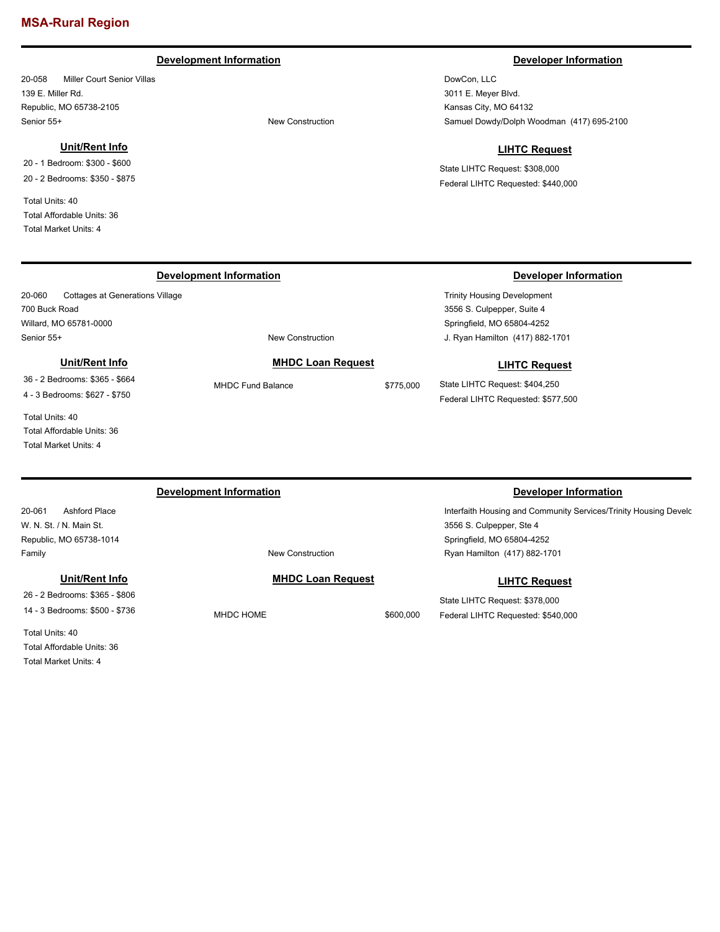### **Development Information Developer Information**

20-058 Miller Court Senior Villas 139 E. Miller Rd. Republic, MO 65738-2105 Senior 55+ New Construction

#### **Unit/Rent Info**

20-060 Cottages at Generations Village

**Unit/Rent Info** 36 - 2 Bedrooms: \$365 - \$664 4 - 3 Bedrooms: \$627 - \$750

20 - 1 Bedroom: \$300 - \$600 20 - 2 Bedrooms: \$350 - \$875

Total Units: 40 Total Affordable Units: 36 Total Market Units: 4

700 Buck Road Willard, MO 65781-0000

DowCon, LLC 3011 E. Meyer Blvd. Kansas City, MO 64132 Samuel Dowdy/Dolph Woodman (417) 695-2100

### **LIHTC Request**

State LIHTC Request: \$308,000 Federal LIHTC Requested: \$440,000

### **Development Information Developer Information**

Trinity Housing Development 3556 S. Culpepper, Suite 4 Springfield, MO 65804-4252 J. Ryan Hamilton (417) 882-1701

#### **LIHTC Request**

State LIHTC Request: \$404,250 Federal LIHTC Requested: \$577,500

Total Units: 40 Total Affordable Units: 36 Total Market Units: 4

### **Development Information Developer Information**

Senior 55+ New Construction

20-061 Ashford Place W. N. St. / N. Main St. Republic, MO 65738-1014 Family **Family Family New Construction** 

**Unit/Rent Info**

26 - 2 Bedrooms: \$365 - \$806 14 - 3 Bedrooms: \$500 - \$736

Total Units: 40 Total Affordable Units: 36 Total Market Units: 4

#### **MHDC Loan Request**

**MHDC Loan Request** MHDC Fund Balance \$775,000

MHDC HOME \$600,000

Interfaith Housing and Community Services/Trinity Housing Develo 3556 S. Culpepper, Ste 4 Springfield, MO 65804-4252 Ryan Hamilton (417) 882-1701

### **LIHTC Request**

State LIHTC Request: \$378,000 Federal LIHTC Requested: \$540,000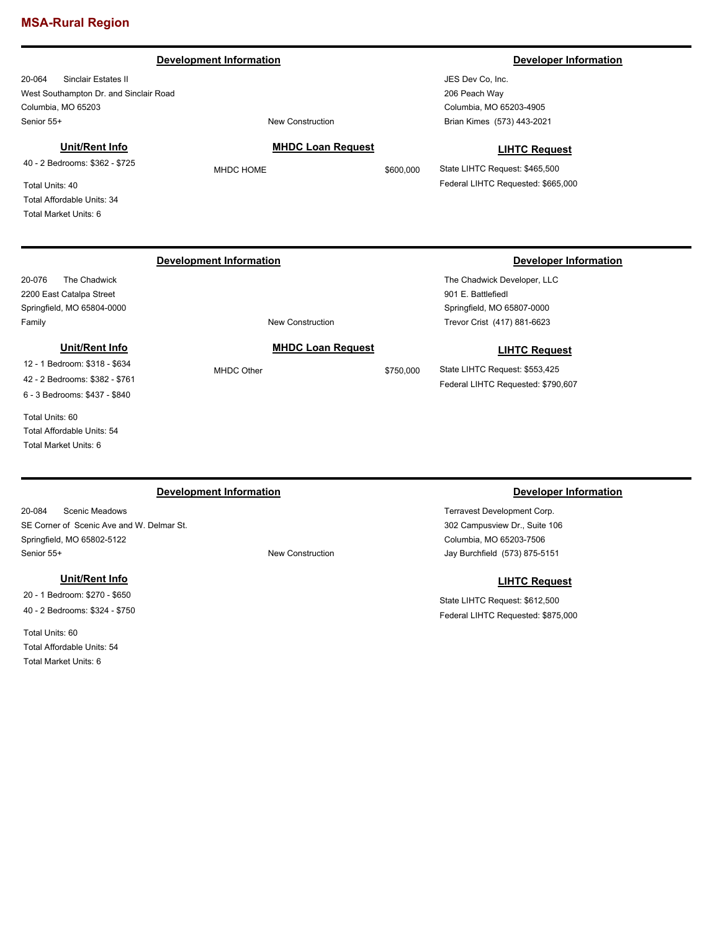#### **Development Information Developer Information**

20-064 Sinclair Estates II West Southampton Dr. and Sinclair Road Columbia, MO 65203 Senior 55+ New Construction

### **Unit/Rent Info**

40 - 2 Bedrooms: \$362 - \$725

Total Units: 40 Total Affordable Units: 34 Total Market Units: 6

#### **MHDC Loan Request**

JES Dev Co, Inc. 206 Peach Way Columbia, MO 65203-4905 Brian Kimes (573) 443-2021

#### **LIHTC Request**

State LIHTC Request: \$465,500 Federal LIHTC Requested: \$665,000

### **Development Information Developer Information**

20-076 The Chadwick 2200 East Catalpa Street Springfield, MO 65804-0000 Family **Family Example 2018 New Construction** 

#### **Unit/Rent Info**

12 - 1 Bedroom: \$318 - \$634 42 - 2 Bedrooms: \$382 - \$761 6 - 3 Bedrooms: \$437 - \$840

Total Units: 60 Total Affordable Units: 54

Total Market Units: 6

20-084 Scenic Meadows SE Corner of Scenic Ave and W. Delmar St. Springfield, MO 65802-5122 Senior 55+ New Construction

#### **Unit/Rent Info**

20 - 1 Bedroom: \$270 - \$650 40 - 2 Bedrooms: \$324 - \$750

Total Units: 60 Total Affordable Units: 54 Total Market Units: 6

MHDC Other \$750,000

The Chadwick Developer, LLC 901 E. Battlefiedl Springfield, MO 65807-0000 Trevor Crist (417) 881-6623

#### **LIHTC Request**

State LIHTC Request: \$553,425 Federal LIHTC Requested: \$790,607

### **Development Information Developer Information**

Terravest Development Corp. 302 Campusview Dr., Suite 106 Columbia, MO 65203-7506 Jay Burchfield (573) 875-5151

### **LIHTC Request**

State LIHTC Request: \$612,500 Federal LIHTC Requested: \$875,000

**MHDC Loan Request**

# MHDC HOME \$600,000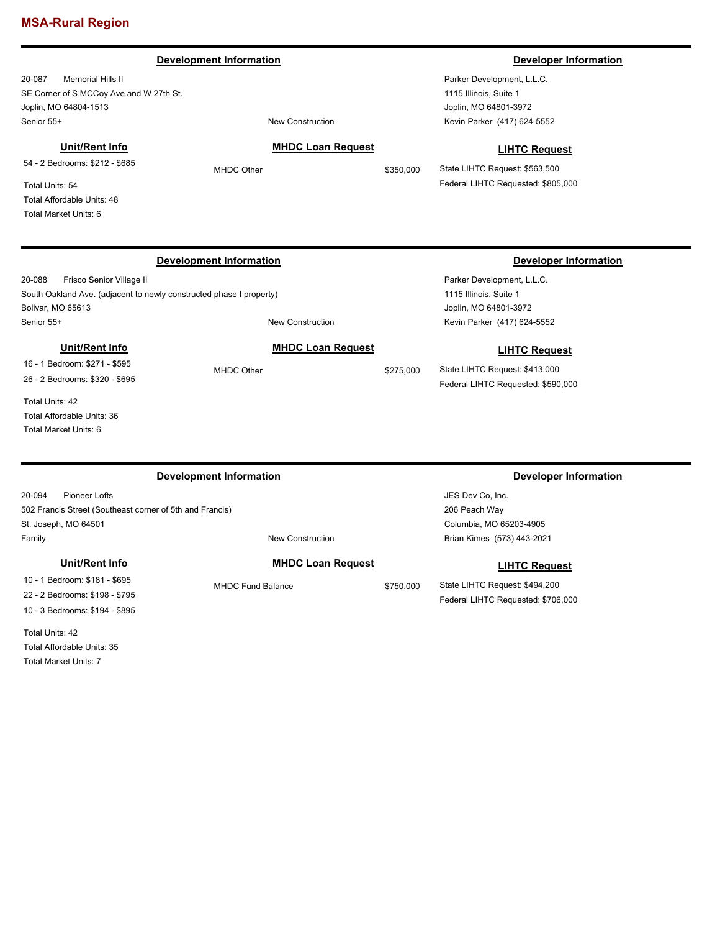#### **Development Information Developer Information**

20-087 Memorial Hills II SE Corner of S MCCoy Ave and W 27th St. Joplin, MO 64804-1513 Senior 55+ New Construction

### **Unit/Rent Info**

54 - 2 Bedrooms: \$212 - \$685

Total Units: 54 Total Affordable Units: 48 Total Market Units: 6

20-088 Frisco Senior Village II South Oakland Ave. (adjacent to newly constructed phase I property) Bolivar, MO 65613 Senior 55+ New Construction

#### **Unit/Rent Info**

16 - 1 Bedroom: \$271 - \$595 26 - 2 Bedrooms: \$320 - \$695

Total Units: 42 Total Affordable Units: 36 Total Market Units: 6

#### **Development Information Developer Information**

20-094 Pioneer Lofts 502 Francis Street (Southeast corner of 5th and Francis) St. Joseph, MO 64501 Family **Family Family New Construction** 

#### **Unit/Rent Info**

10 - 1 Bedroom: \$181 - \$695 22 - 2 Bedrooms: \$198 - \$795 10 - 3 Bedrooms: \$194 - \$895

Total Units: 42 Total Affordable Units: 35 Total Market Units: 7

# **MHDC Loan Request**

MHDC Other \$275,000

**MHDC Loan Request** MHDC Other \$350,000

Parker Development, L.L.C. 1115 Illinois, Suite 1 Joplin, MO 64801-3972 Kevin Parker (417) 624-5552

#### **LIHTC Request**

State LIHTC Request: \$563,500 Federal LIHTC Requested: \$805,000

### **Development Information Developer Information**

Parker Development, L.L.C. 1115 Illinois, Suite 1 Joplin, MO 64801-3972 Kevin Parker (417) 624-5552

### **LIHTC Request**

State LIHTC Request: \$413,000 Federal LIHTC Requested: \$590,000

JES Dev Co, Inc. 206 Peach Way Columbia, MO 65203-4905 Brian Kimes (573) 443-2021

#### **LIHTC Request**

State LIHTC Request: \$494,200 Federal LIHTC Requested: \$706,000

#### **MHDC Loan Request**

MHDC Fund Balance \$750,000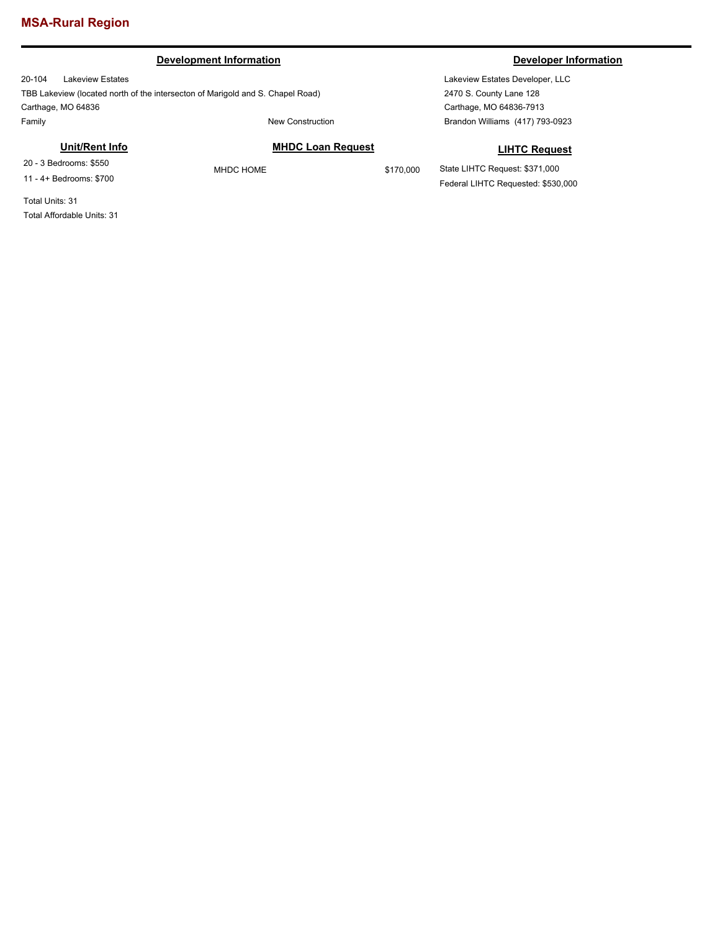### **Development Information Developer Information**

20-104 Lakeview Estates TBB Lakeview (located north of the intersecton of Marigold and S. Chapel Road) Carthage, MO 64836 Family **Family New Construction** 

Lakeview Estates Developer, LLC 2470 S. County Lane 128 Carthage, MO 64836-7913 Brandon Williams (417) 793-0923

### **Unit/Rent Info**

20 - 3 Bedrooms: \$550 11 - 4+ Bedrooms: \$700

MHDC HOME \$170,000

### **LIHTC Request**

State LIHTC Request: \$371,000 Federal LIHTC Requested: \$530,000

Total Units: 31 Total Affordable Units: 31

**MHDC Loan Request**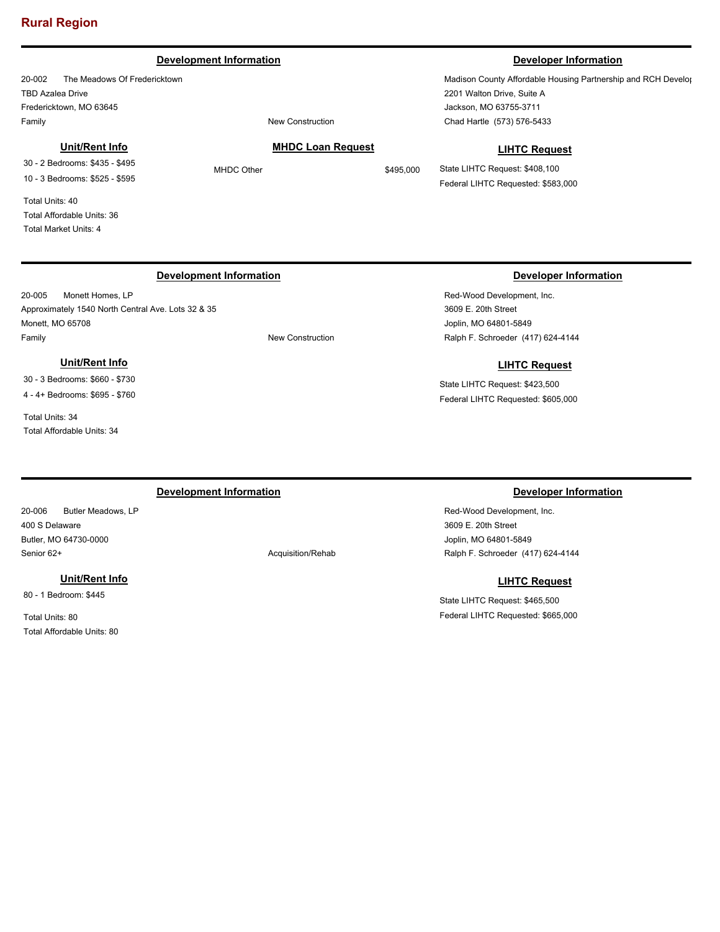#### **Development Information Developer Information**

20-002 The Meadows Of Fredericktown TBD Azalea Drive Fredericktown, MO 63645 Family **Family Family New Construction** 

#### **Unit/Rent Info**

30 - 2 Bedrooms: \$435 - \$495 10 - 3 Bedrooms: \$525 - \$595

Total Units: 40 Total Affordable Units: 36 Total Market Units: 4

**MHDC Loan Request**

Madison County Affordable Housing Partnership and RCH Develop 2201 Walton Drive, Suite A Jackson, MO 63755-3711 Chad Hartle (573) 576-5433

#### **LIHTC Request**

State LIHTC Request: \$408,100 Federal LIHTC Requested: \$583,000

### **Development Information Developer Information**

20-005 Monett Homes, LP Approximately 1540 North Central Ave. Lots 32 & 35 Monett, MO 65708 Family **Family New Construction** 

### **Unit/Rent Info**

30 - 3 Bedrooms: \$660 - \$730 4 - 4+ Bedrooms: \$695 - \$760

Total Units: 34

Total Affordable Units: 34

Red-Wood Development, Inc. 3609 E. 20th Street Joplin, MO 64801-5849 Ralph F. Schroeder (417) 624-4144

### **LIHTC Request**

State LIHTC Request: \$423,500 Federal LIHTC Requested: \$605,000

### **Development Information Developer Information**

20-006 Butler Meadows, LP 400 S Delaware Butler, MO 64730-0000 Senior 62+ Acquisition/Rehabition Acquisition Acquisition Acquisition Acquisition Acquisition Acquisition Acquisition Acquisition Acquisition Acquisition Acquisition Acquisition Acquisition Acquisition Acquisition Acquisit

#### **Unit/Rent Info**

80 - 1 Bedroom: \$445

Total Units: 80 Total Affordable Units: 80

Red-Wood Development, Inc. 3609 E. 20th Street Joplin, MO 64801-5849 Ralph F. Schroeder (417) 624-4144

### **LIHTC Request**

State LIHTC Request: \$465,500 Federal LIHTC Requested: \$665,000

MHDC Other \$495,000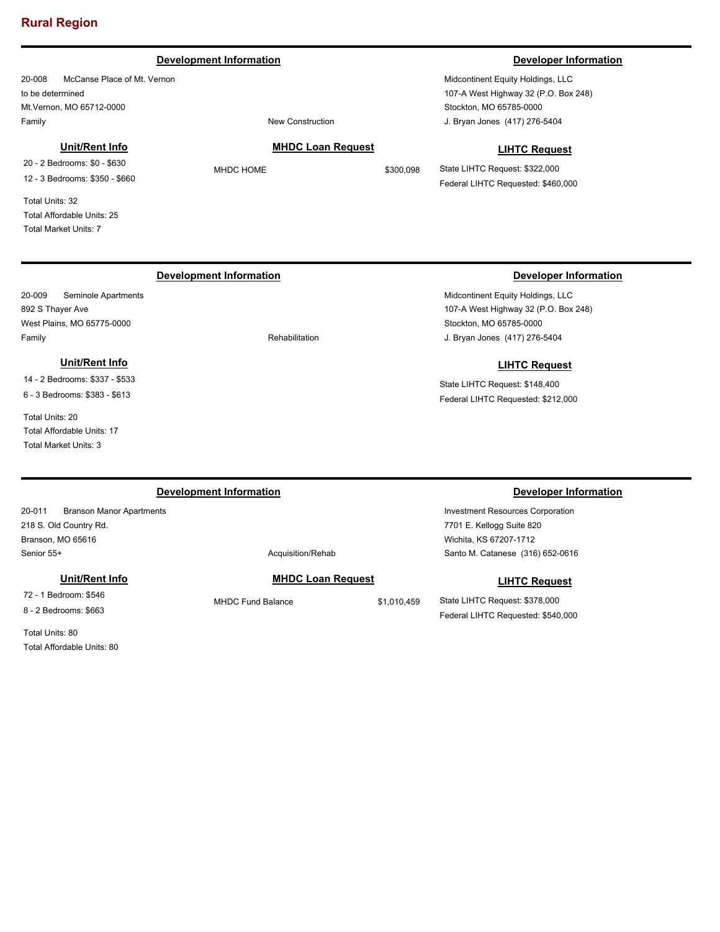#### **Development Information Developer Information**

20-008 McCanse Place of Mt. Vernon to be determined Mt.Vernon, MO 65712-0000 Family **Family Family New Construction** 

#### **Unit/Rent Info**

20 - 2 Bedrooms: \$0 - \$630 12 - 3 Bedrooms: \$350 - \$660

Total Units: 32 Total Affordable Units: 25 Total Market Units: 7

#### **MHDC Loan Request**

MHDC HOME \$300,098

Midcontinent Equity Holdings, LLC 107-A West Highway 32 (P.O. Box 248) Stockton, MO 65785-0000 J. Bryan Jones (417) 276-5404

#### **LIHTC Request**

State LIHTC Request: \$322,000 Federal LIHTC Requested: \$460,000

### **Development Information Developer Information**

20-009 Seminole Apartments 892 S Thayer Ave West Plains, MO 65775-0000 Family **Family Example 2018 Rehabilitation** 

### **Unit/Rent Info**

14 - 2 Bedrooms: \$337 - \$533 6 - 3 Bedrooms: \$383 - \$613

Total Units: 20 Total Affordable Units: 17 Total Market Units: 3

Midcontinent Equity Holdings, LLC 107-A West Highway 32 (P.O. Box 248) Stockton, MO 65785-0000 J. Bryan Jones (417) 276-5404

#### **LIHTC Request**

State LIHTC Request: \$148,400 Federal LIHTC Requested: \$212,000

20-011 Branson Manor Apartments 218 S. Old Country Rd. Branson, MO 65616 Senior 55+ Acquisition/Rehabition Acquisition Acquisition Acquisition Acquisition Acquisition Acquisition Acquisition Acquisition Acquisition Acquisition Acquisition Acquisition Acquisition Acquisition Acquisition Acquisit

#### **Unit/Rent Info**

72 - 1 Bedroom: \$546 8 - 2 Bedrooms: \$663

Total Units: 80 Total Affordable Units: 80

### **MHDC Loan Request**

MHDC Fund Balance \$1,010,459

### **Development Information Developer Information**

Investment Resources Corporation 7701 E. Kellogg Suite 820 Wichita, KS 67207-1712 Santo M. Catanese (316) 652-0616

### **LIHTC Request**

State LIHTC Request: \$378,000 Federal LIHTC Requested: \$540,000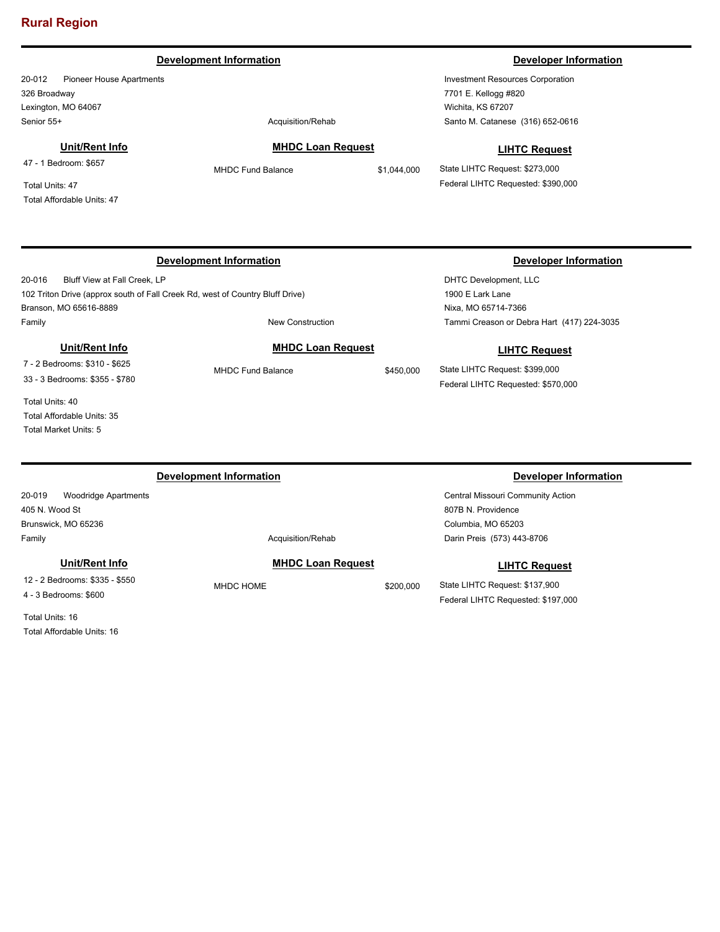#### **Development Information Developer Information**

20-012 Pioneer House Apartments 326 Broadway Lexington, MO 64067 Senior 55+ Acquisition/Rehab

### **Unit/Rent Info**

47 - 1 Bedroom: \$657

Total Units: 47 Total Affordable Units: 47

### **Development Information Developer Information**

20-016 Bluff View at Fall Creek, LP 102 Triton Drive (approx south of Fall Creek Rd, west of Country Bluff Drive) Branson, MO 65616-8889 Family **Family Example 2018 New Construction** 

#### **Unit/Rent Info**

7 - 2 Bedrooms: \$310 - \$625 33 - 3 Bedrooms: \$355 - \$780

Total Units: 40 Total Affordable Units: 35 Total Market Units: 5

#### **Development Information Developer Information**

20-019 Woodridge Apartments 405 N. Wood St Brunswick, MO 65236 Family **Acquisition/Rehab** 

#### **Unit/Rent Info**

12 - 2 Bedrooms: \$335 - \$550 4 - 3 Bedrooms: \$600

Total Units: 16 Total Affordable Units: 16

**MHDC Loan Request**

MHDC Fund Balance \$1,044,000

Investment Resources Corporation 7701 E. Kellogg #820 Wichita, KS 67207 Santo M. Catanese (316) 652-0616

#### **LIHTC Request**

State LIHTC Request: \$273,000 Federal LIHTC Requested: \$390,000

DHTC Development, LLC 1900 E Lark Lane Nixa, MO 65714-7366 Tammi Creason or Debra Hart (417) 224-3035

### **LIHTC Request**

State LIHTC Request: \$399,000 Federal LIHTC Requested: \$570,000

Central Missouri Community Action 807B N. Providence Columbia, MO 65203 Darin Preis (573) 443-8706

#### **LIHTC Request**

State LIHTC Request: \$137,900 Federal LIHTC Requested: \$197,000

### **MHDC Loan Request**

MHDC HOME \$200,000

# MHDC Fund Balance \$450,000

**MHDC Loan Request**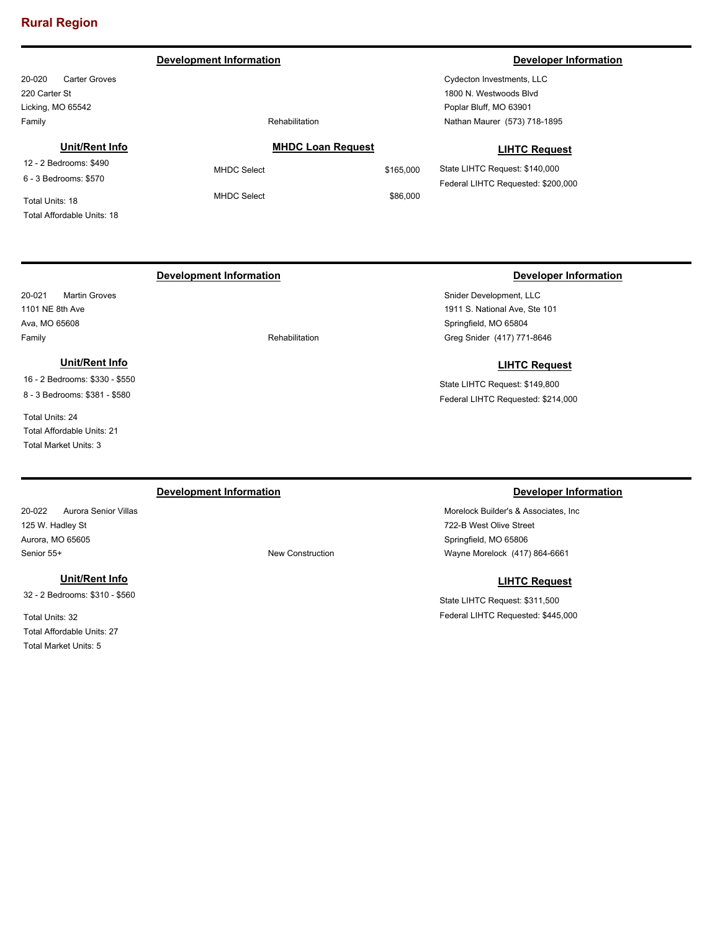#### **Development Information Developer Information**

20-020 Carter Groves 220 Carter St Licking, MO 65542 Family **Family Family Rehabilitation** 

#### **Unit/Rent Info**

12 - 2 Bedrooms: \$490 6 - 3 Bedrooms: \$570

Total Units: 18 Total Affordable Units: 18

### **MHDC Loan Request**

MHDC Select \$86,000

MHDC Select \$165,000

Cydecton Investments, LLC 1800 N. Westwoods Blvd Poplar Bluff, MO 63901 Nathan Maurer (573) 718-1895

#### **LIHTC Request**

State LIHTC Request: \$140,000 Federal LIHTC Requested: \$200,000

### **Development Information Developer Information**

20-021 Martin Groves 1101 NE 8th Ave Ava, MO 65608 Family **Family Rehabilitation** 

### **Unit/Rent Info**

16 - 2 Bedrooms: \$330 - \$550 8 - 3 Bedrooms: \$381 - \$580

Total Units: 24 Total Affordable Units: 21 Total Market Units: 3

Snider Development, LLC 1911 S. National Ave, Ste 101 Springfield, MO 65804 Greg Snider (417) 771-8646

#### **LIHTC Request**

State LIHTC Request: \$149,800 Federal LIHTC Requested: \$214,000

### **Development Information Developer Information**

20-022 Aurora Senior Villas 125 W. Hadley St Aurora, MO 65605 Senior 55+ New Construction

#### **Unit/Rent Info**

32 - 2 Bedrooms: \$310 - \$560

Total Units: 32 Total Affordable Units: 27 Total Market Units: 5

Morelock Builder's & Associates, Inc 722-B West Olive Street Springfield, MO 65806 Wayne Morelock (417) 864-6661

#### **LIHTC Request**

State LIHTC Request: \$311,500 Federal LIHTC Requested: \$445,000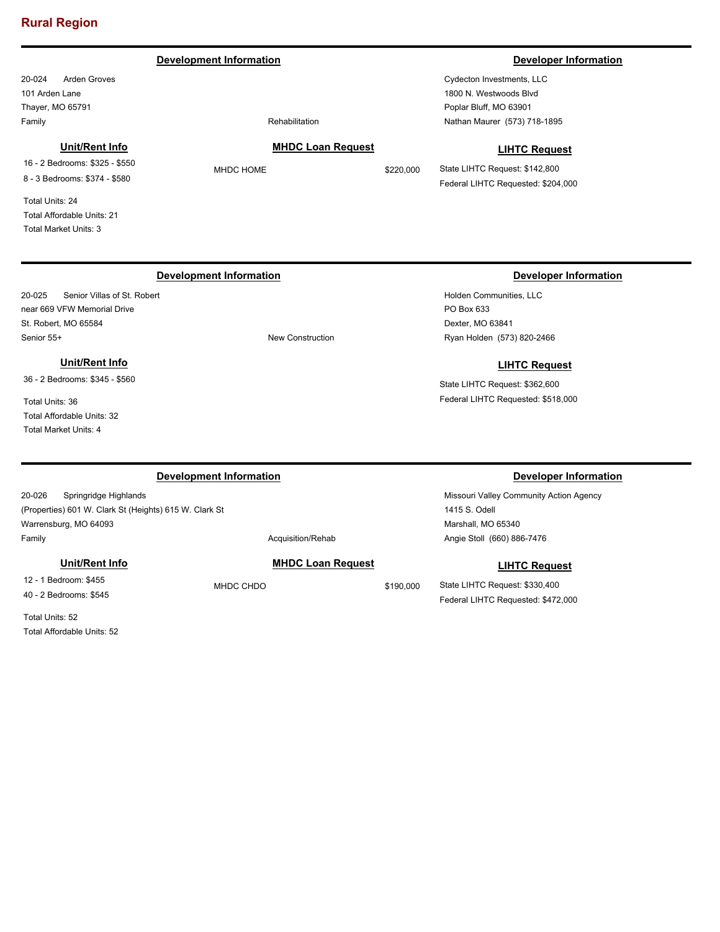#### **Development Information Developer Information**

20-024 Arden Groves 101 Arden Lane Thayer, MO 65791 Family **Family Family Rehabilitation** 

#### **Unit/Rent Info**

16 - 2 Bedrooms: \$325 - \$550 8 - 3 Bedrooms: \$374 - \$580

Total Units: 24 Total Affordable Units: 21 Total Market Units: 3

**MHDC Loan Request** MHDC HOME \$220,000

Cydecton Investments, LLC 1800 N. Westwoods Blvd Poplar Bluff, MO 63901 Nathan Maurer (573) 718-1895

#### **LIHTC Request**

State LIHTC Request: \$142,800 Federal LIHTC Requested: \$204,000

### **Development Information Developer Information**

20-025 Senior Villas of St. Robert near 669 VFW Memorial Drive St. Robert, MO 65584 Senior 55+ New Construction

### **Unit/Rent Info**

36 - 2 Bedrooms: \$345 - \$560

Total Units: 36 Total Affordable Units: 32 Total Market Units: 4

### Holden Communities, LLC

PO Box 633 Dexter, MO 63841 Ryan Holden (573) 820-2466

#### **LIHTC Request**

State LIHTC Request: \$362,600 Federal LIHTC Requested: \$518,000

Missouri Valley Community Action Agency 1415 S. Odell Marshall, MO 65340 Angie Stoll (660) 886-7476

#### **LIHTC Request**

State LIHTC Request: \$330,400 Federal LIHTC Requested: \$472,000

#### **Development Information Developer Information**

20-026 Springridge Highlands (Properties) 601 W. Clark St (Heights) 615 W. Clark St Warrensburg, MO 64093 Family **Acquisition/Rehab** 

#### **Unit/Rent Info**

12 - 1 Bedroom: \$455 40 - 2 Bedrooms: \$545

Total Units: 52 Total Affordable Units: 52 **MHDC Loan Request**

MHDC CHDO \$190,000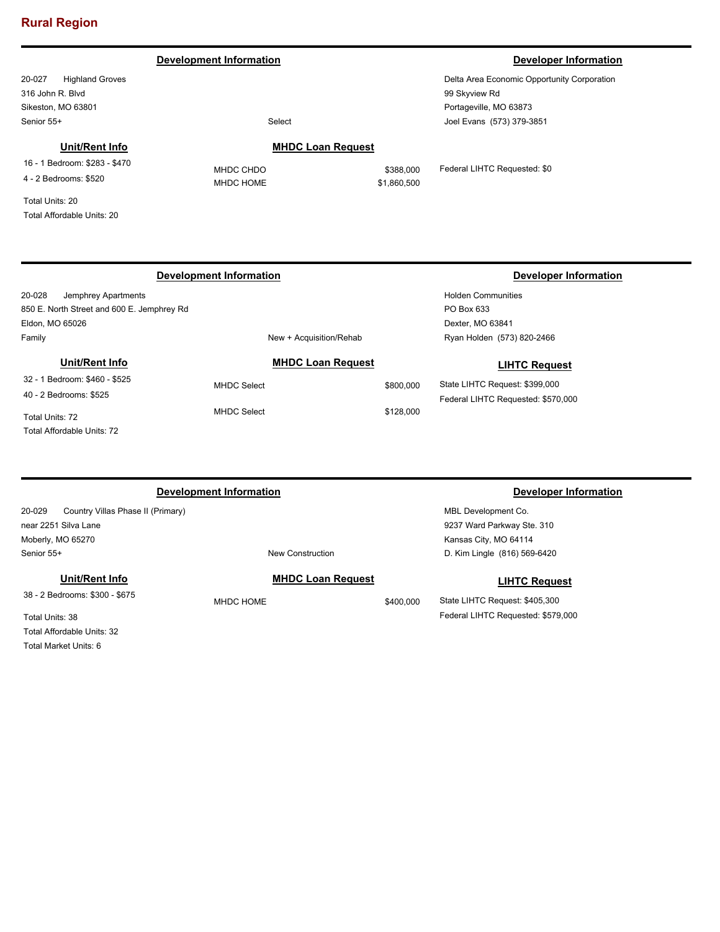#### **Development Information Developer Information Developer Information**

20-027 Highland Groves 316 John R. Blvd Sikeston, MO 63801 Senior 55+ Select

Delta Area Economic Opportunity Corporation 99 Skyview Rd Portageville, MO 63873 Joel Evans (573) 379-3851

### **Unit/Rent Info**

16 - 1 Bedroom: \$283 - \$470 4 - 2 Bedrooms: \$520

Total Units: 20 Total Affordable Units: 20

#### 20-028 Jemphrey Apartments 850 E. North Street and 600 E. Jemphrey Rd Eldon, MO 65026 Holden Communities PO Box 633 Dexter, MO 63841 Family **Family New + Acquisition/Rehab Development Information Developer Information** Ryan Holden (573) 820-2466 **MHDC Loan Request** MHDC Select \$800,000 MHDC Select \$128,000 **LIHTC Request** State LIHTC Request: \$399,000 Federal LIHTC Requested: \$570,000 **Unit/Rent Info** 32 - 1 Bedroom: \$460 - \$525 40 - 2 Bedrooms: \$525 Total Units: 72 Total Affordable Units: 72

| Development Information                     |                          |           | Developer Information          |
|---------------------------------------------|--------------------------|-----------|--------------------------------|
| 20-029<br>Country Villas Phase II (Primary) |                          |           | MBL Development Co.            |
| near 2251 Silva Lane                        |                          |           | 9237 Ward Parkway Ste. 310     |
| Moberly, MO 65270                           |                          |           | Kansas City, MO 64114          |
| Senior 55+                                  | New Construction         |           | D. Kim Lingle (816) 569-6420   |
| Unit/Rent Info                              | <b>MHDC Loan Request</b> |           | <b>LIHTC Request</b>           |
| 38 - 2 Bedrooms: \$300 - \$675              | MHDC HOME                | \$400,000 | State LIHTC Request: \$405,300 |

Total Units: 38 Total Affordable Units: 32 Total Market Units: 6

## **MHDC Loan Request** MHDC CHDO \$388,000

MHDC HOME \$1,860,500

Federal LIHTC Requested: \$0

Federal LIHTC Requested: \$579,000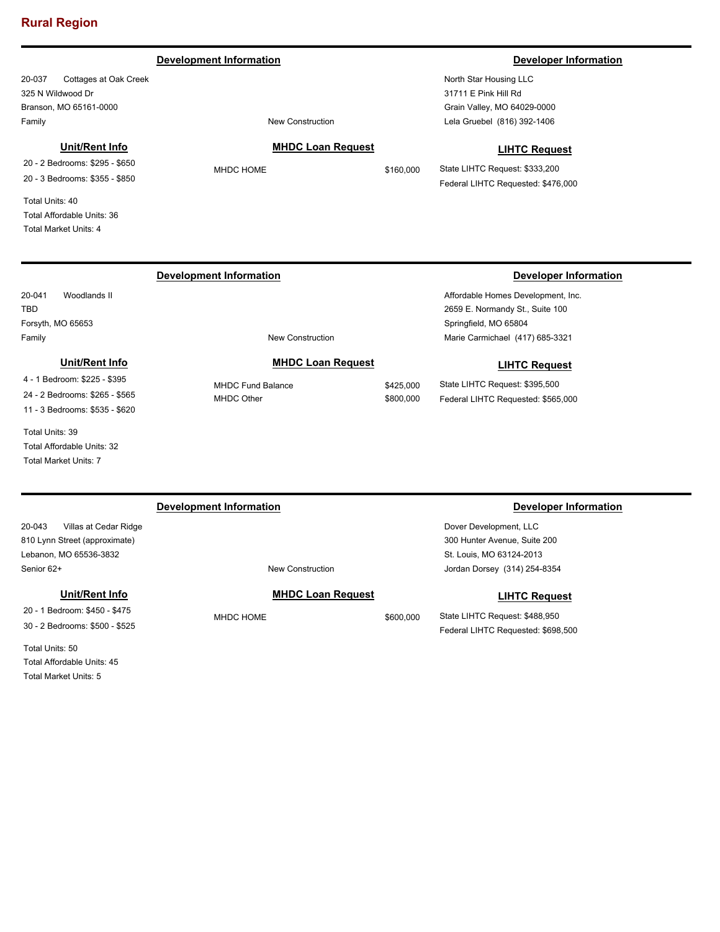#### **Development Information Developer Information**

20-037 Cottages at Oak Creek 325 N Wildwood Dr Branson, MO 65161-0000 Family **Family Family New Construction** 

#### **Unit/Rent Info**

20 - 2 Bedrooms: \$295 - \$650 20 - 3 Bedrooms: \$355 - \$850

Total Units: 40 Total Affordable Units: 36 Total Market Units: 4

North Star Housing LLC 31711 E Pink Hill Rd Grain Valley, MO 64029-0000 Lela Gruebel (816) 392-1406

### **MHDC Loan Request**

MHDC HOME \$160,000

### **LIHTC Request**

State LIHTC Request: \$333,200 Federal LIHTC Requested: \$476,000

### **Development Information Developer Information**

20-041 Woodlands II TBD Forsyth, MO 65653

**Unit/Rent Info**

4 - 1 Bedroom: \$225 - \$395 24 - 2 Bedrooms: \$265 - \$565 11 - 3 Bedrooms: \$535 - \$620

Total Units: 39 Total Affordable Units: 32 Total Market Units: 7

#### Family **Family New Construction**

**MHDC Loan Request**

MHDC Fund Balance \$425,000 MHDC Other \$800,000

Affordable Homes Development, Inc. 2659 E. Normandy St., Suite 100 Springfield, MO 65804 Marie Carmichael (417) 685-3321

#### **LIHTC Request**

State LIHTC Request: \$395,500 Federal LIHTC Requested: \$565,000

#### 20-043 Villas at Cedar Ridge 810 Lynn Street (approximate) Lebanon, MO 65536-3832 Dover Development, LLC 300 Hunter Avenue, Suite 200 St. Louis, MO 63124-2013 Senior 62+ New Construction **Development Information Developer Information** Jordan Dorsey (314) 254-8354

#### **Unit/Rent Info**

20 - 1 Bedroom: \$450 - \$475 30 - 2 Bedrooms: \$500 - \$525

Total Units: 50 Total Affordable Units: 45 Total Market Units: 5

### **MHDC Loan Request**

MHDC HOME \$600,000

# **LIHTC Request**

State LIHTC Request: \$488,950 Federal LIHTC Requested: \$698,500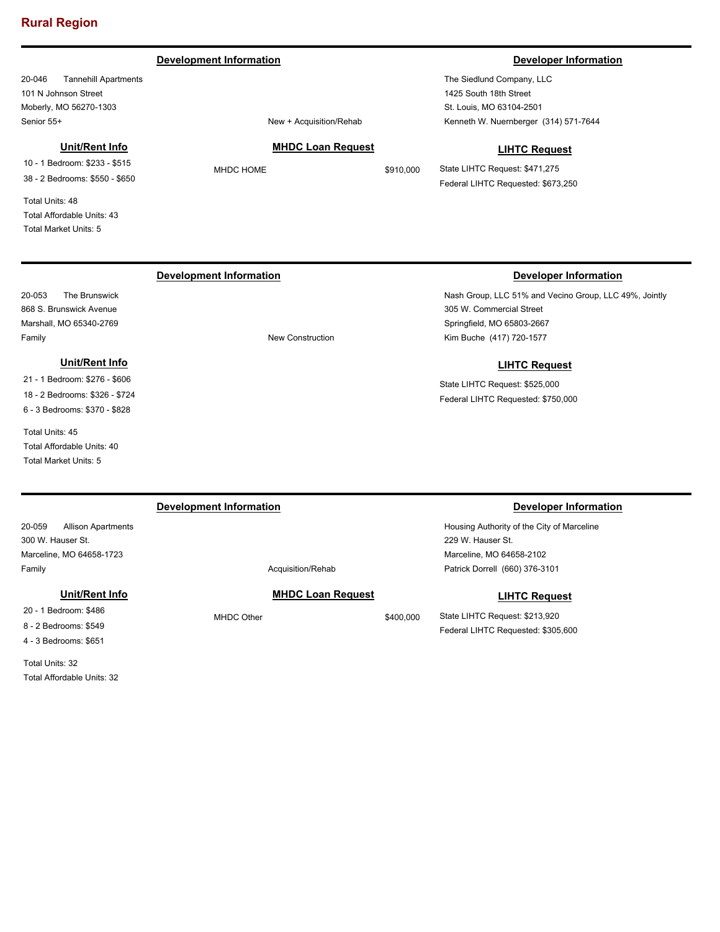#### **Development Information Developer Information Developer Information**

20-046 Tannehill Apartments 101 N Johnson Street Moberly, MO 56270-1303 Senior 55+ New + Acquisition/Rehab

#### **Unit/Rent Info**

10 - 1 Bedroom: \$233 - \$515 38 - 2 Bedrooms: \$550 - \$650

Total Units: 48 Total Affordable Units: 43 Total Market Units: 5

#### **MHDC Loan Request**

MHDC HOME \$910,000

The Siedlund Company, LLC 1425 South 18th Street St. Louis, MO 63104-2501 Kenneth W. Nuernberger (314) 571-7644

#### **LIHTC Request**

State LIHTC Request: \$471,275 Federal LIHTC Requested: \$673,250

### **Development Information Developer Information**

20-053 The Brunswick 868 S. Brunswick Avenue Marshall, MO 65340-2769 Family **Family New Construction** 

### **Unit/Rent Info**

21 - 1 Bedroom: \$276 - \$606 18 - 2 Bedrooms: \$326 - \$724 6 - 3 Bedrooms: \$370 - \$828

Total Units: 45 Total Affordable Units: 40 Total Market Units: 5

Nash Group, LLC 51% and Vecino Group, LLC 49%, Jointly 305 W. Commercial Street Springfield, MO 65803-2667 Kim Buche (417) 720-1577

### **LIHTC Request**

State LIHTC Request: \$525,000 Federal LIHTC Requested: \$750,000

| Development Information             |            |                          |           | Developer Information                      |  |  |
|-------------------------------------|------------|--------------------------|-----------|--------------------------------------------|--|--|
| 20-059<br><b>Allison Apartments</b> |            |                          |           | Housing Authority of the City of Marceline |  |  |
| 300 W. Hauser St.                   |            |                          |           | 229 W. Hauser St.                          |  |  |
| Marceline, MO 64658-1723            |            |                          |           | Marceline, MO 64658-2102                   |  |  |
| Family                              |            | Acquisition/Rehab        |           | Patrick Dorrell (660) 376-3101             |  |  |
| Unit/Rent Info                      |            | <b>MHDC Loan Request</b> |           | <b>LIHTC Request</b>                       |  |  |
| 20 - 1 Bedroom: \$486               | MHDC Other |                          | \$400,000 | State LIHTC Request: \$213,920             |  |  |
| 8 - 2 Bedrooms: \$549               |            |                          |           | Federal LIHTC Requested: \$305,600         |  |  |

4 - 3 Bedrooms: \$651 Total Units: 32

Total Affordable Units: 32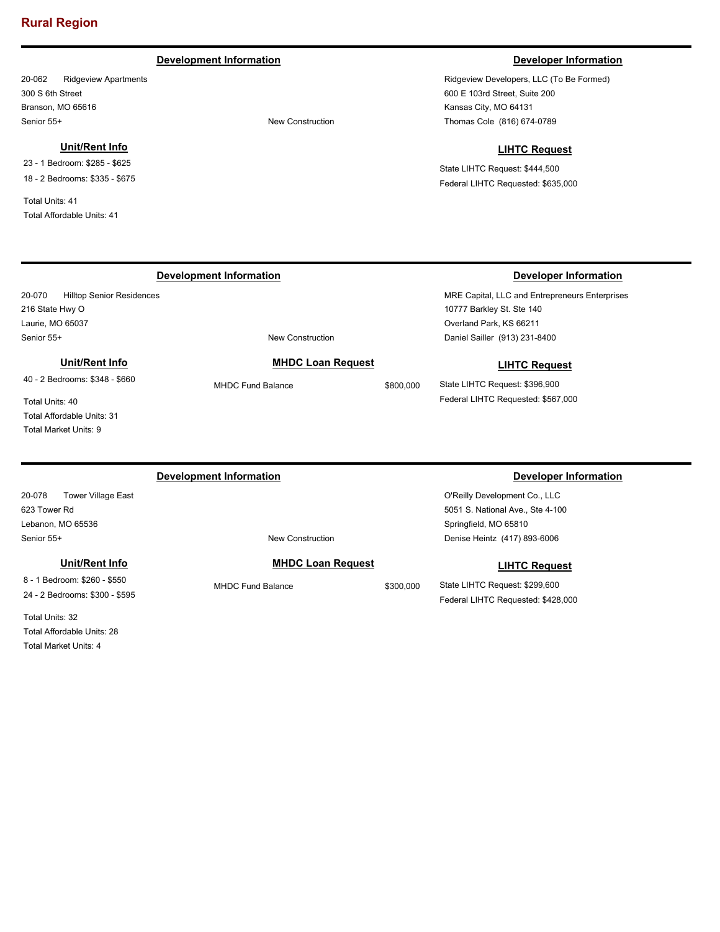### **Development Information Developer Information**

20-062 Ridgeview Apartments 300 S 6th Street Branson, MO 65616 Senior 55+ New Construction

#### **Unit/Rent Info**

23 - 1 Bedroom: \$285 - \$625 18 - 2 Bedrooms: \$335 - \$675

Total Units: 41 Total Affordable Units: 41

Ridgeview Developers, LLC (To Be Formed) 600 E 103rd Street, Suite 200 Kansas City, MO 64131 Thomas Cole (816) 674-0789

#### **LIHTC Request**

State LIHTC Request: \$444,500 Federal LIHTC Requested: \$635,000

### **Development Information Developer Information**

20-070 Hilltop Senior Residences 216 State Hwy O Laurie, MO 65037 Senior 55+ New Construction

### **Unit/Rent Info**

40 - 2 Bedrooms: \$348 - \$660

Total Units: 40 Total Affordable Units: 31 Total Market Units: 9

**Development Information Developer Information** 

20-078 Tower Village East 623 Tower Rd Lebanon, MO 65536 Senior 55+ New Construction

#### **Unit/Rent Info**

8 - 1 Bedroom: \$260 - \$550 24 - 2 Bedrooms: \$300 - \$595

Total Units: 32 Total Affordable Units: 28 Total Market Units: 4

### **MHDC Loan Request**

MHDC Fund Balance \$800,000

MRE Capital, LLC and Entrepreneurs Enterprises 10777 Barkley St. Ste 140 Overland Park, KS 66211 Daniel Sailler (913) 231-8400

#### **LIHTC Request**

State LIHTC Request: \$396,900 Federal LIHTC Requested: \$567,000

### **MHDC Loan Request**

MHDC Fund Balance \$300,000

O'Reilly Development Co., LLC 5051 S. National Ave., Ste 4-100 Springfield, MO 65810 Denise Heintz (417) 893-6006

#### **LIHTC Request**

State LIHTC Request: \$299,600 Federal LIHTC Requested: \$428,000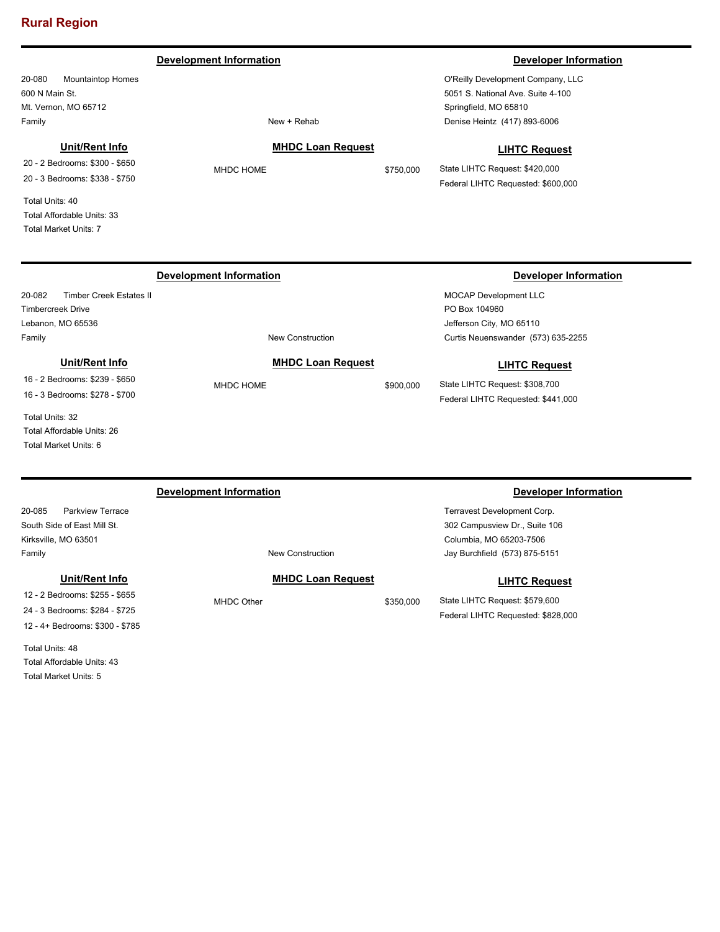#### **Development Information Developer Information**

20-080 Mountaintop Homes 600 N Main St. Mt. Vernon, MO 65712 Family **New + Rehab** 

#### **Unit/Rent Info**

20 - 2 Bedrooms: \$300 - \$650 20 - 3 Bedrooms: \$338 - \$750

Total Units: 40 Total Affordable Units: 33 Total Market Units: 7

**MHDC Loan Request** MHDC HOME \$750,000

O'Reilly Development Company, LLC 5051 S. National Ave. Suite 4-100 Springfield, MO 65810 Denise Heintz (417) 893-6006

#### **LIHTC Request**

State LIHTC Request: \$420,000 Federal LIHTC Requested: \$600,000

20-082 Timber Creek Estates II Timbercreek Drive Lebanon, MO 65536 Family **Family New Construction** 

### **Unit/Rent Info**

16 - 2 Bedrooms: \$239 - \$650 16 - 3 Bedrooms: \$278 - \$700

Total Units: 32 Total Affordable Units: 26 Total Market Units: 6

#### 20-085 Parkview Terrace South Side of East Mill St. Kirksville, MO 63501 Terravest Development Corp. 302 Campusview Dr., Suite 106 Columbia, MO 65203-7506 Family **Family Family New Construction Development Information Developer Information** Jay Burchfield (573) 875-5151 **MHDC Loan Request** MHDC Other \$350,000 **LIHTC Request Unit/Rent Info** 12 - 2 Bedrooms: \$255 - \$655

24 - 3 Bedrooms: \$284 - \$725 12 - 4+ Bedrooms: \$300 - \$785

Total Units: 48 Total Affordable Units: 43 Total Market Units: 5

**Development Information Developer Information** 

MOCAP Development LLC PO Box 104960 Jefferson City, MO 65110 Curtis Neuenswander (573) 635-2255

#### **LIHTC Request**

State LIHTC Request: \$308,700 Federal LIHTC Requested: \$441,000

State LIHTC Request: \$579,600 Federal LIHTC Requested: \$828,000

MHDC HOME \$900,000

**MHDC Loan Request**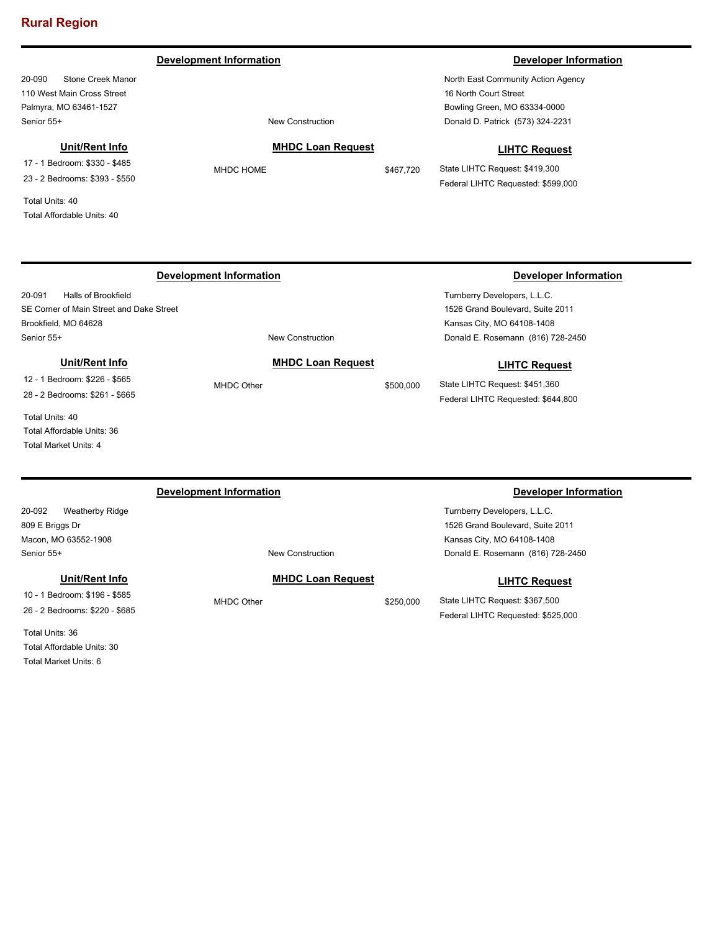**Development Information Developer Information Developer Information** 

20-090 Stone Creek Manor 110 West Main Cross Street Palmyra, MO 63461-1527 Senior 55+ New Construction

### **Unit/Rent Info**

17 - 1 Bedroom: \$330 - \$485 23 - 2 Bedrooms: \$393 - \$550

Total Units: 40 Total Affordable Units: 40

# **MHDC Loan Request**

MHDC HOME \$467,720

North East Community Action Agency 16 North Court Street Bowling Green, MO 63334-0000 Donald D. Patrick (573) 324-2231

#### **LIHTC Request**

State LIHTC Request: \$419,300 Federal LIHTC Requested: \$599,000

Federal LIHTC Requested: \$525,000

#### 20-091 Halls of Brookfield SE Corner of Main Street and Dake Street Brookfield, MO 64628 Turnberry Developers, L.L.C. 1526 Grand Boulevard, Suite 2011 Kansas City, MO 64108-1408 Senior 55+ New Construction **Development Information Developer Information** Donald E. Rosemann (816) 728-2450 **MHDC Loan Request** MHDC Other \$500,000 **LIHTC Request** State LIHTC Request: \$451,360 Federal LIHTC Requested: \$644,800 **Unit/Rent Info** 12 - 1 Bedroom: \$226 - \$565 28 - 2 Bedrooms: \$261 - \$665

Total Units: 40 Total Affordable Units: 36 Total Market Units: 4

| Development Information       |                          |           | Developer Information             |
|-------------------------------|--------------------------|-----------|-----------------------------------|
| 20-092<br>Weatherby Ridge     |                          |           | Turnberry Developers, L.L.C.      |
| 809 E Briggs Dr               |                          |           | 1526 Grand Boulevard, Suite 2011  |
| Macon, MO 63552-1908          |                          |           | Kansas City, MO 64108-1408        |
| Senior 55+                    | New Construction         |           | Donald E. Rosemann (816) 728-2450 |
| Unit/Rent Info                | <b>MHDC Loan Request</b> |           | <b>LIHTC Request</b>              |
| 10 - 1 Bedroom: \$196 - \$585 | MHDC Other               | \$250,000 | State LIHTC Request: \$367,500    |

26 - 2 Bedrooms: \$220 - \$685

Total Units: 36 Total Affordable Units: 30 Total Market Units: 6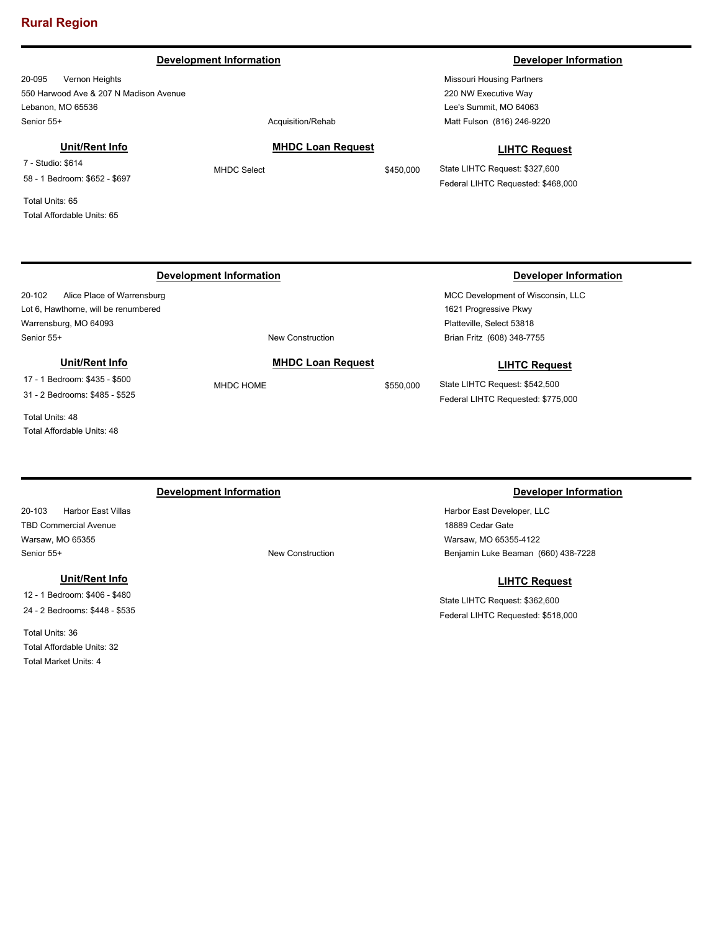#### **Development Information Developer Information**

20-095 Vernon Heights 550 Harwood Ave & 207 N Madison Avenue Lebanon, MO 65536 Senior 55+ Acquisition/Rehabition Acquisition Acquisition Acquisition Acquisition Acquisition Acquisition Acquisition Acquisition Acquisition Acquisition Acquisition Acquisition Acquisition Acquisition Acquisition Acquisit

### **Unit/Rent Info**

7 - Studio: \$614 58 - 1 Bedroom: \$652 - \$697

Total Units: 65 Total Affordable Units: 65

Missouri Housing Partners 220 NW Executive Way Lee's Summit, MO 64063 Matt Fulson (816) 246-9220

#### **LIHTC Request**

State LIHTC Request: \$327,600 Federal LIHTC Requested: \$468,000

### **Development Information Developer Information**

20-102 Alice Place of Warrensburg Lot 6, Hawthorne, will be renumbered Warrensburg, MO 64093 Senior 55+ New Construction

#### **Unit/Rent Info**

17 - 1 Bedroom: \$435 - \$500

31 - 2 Bedrooms: \$485 - \$525

Total Units: 48 Total Affordable Units: 48

20-103 Harbor East Villas TBD Commercial Avenue Warsaw, MO 65355 Senior 55+ New Construction

#### **Unit/Rent Info**

12 - 1 Bedroom: \$406 - \$480 24 - 2 Bedrooms: \$448 - \$535

Total Units: 36 Total Affordable Units: 32 Total Market Units: 4

# **LIHTC Request**

State LIHTC Request: \$542,500 Federal LIHTC Requested: \$775,000

MCC Development of Wisconsin, LLC

1621 Progressive Pkwy Platteville, Select 53818

Brian Fritz (608) 348-7755

### **Development Information Developer Information**

Harbor East Developer, LLC 18889 Cedar Gate Warsaw, MO 65355-4122 Benjamin Luke Beaman (660) 438-7228

#### **LIHTC Request**

State LIHTC Request: \$362,600 Federal LIHTC Requested: \$518,000

**MHDC Loan Request** MHDC Select \$450,000

**MHDC Loan Request** MHDC HOME \$550,000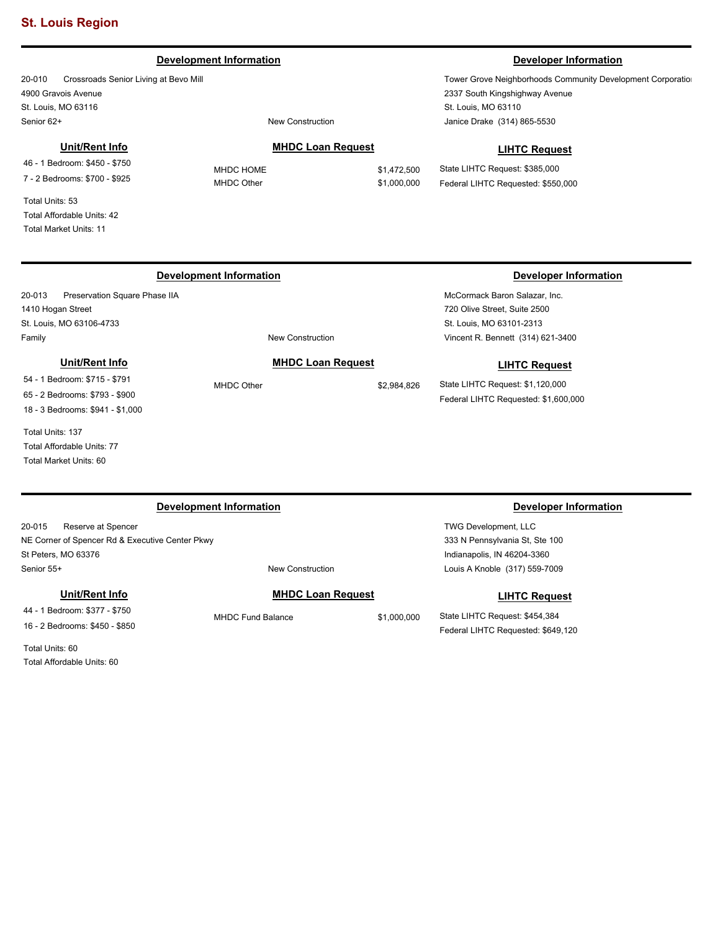#### **Development Information Developer Information**

20-010 Crossroads Senior Living at Bevo Mill 4900 Gravois Avenue St. Louis, MO 63116 Senior 62+ New Construction

#### **Unit/Rent Info**

46 - 1 Bedroom: \$450 - \$750 7 - 2 Bedrooms: \$700 - \$925

Total Units: 53 Total Affordable Units: 42 Total Market Units: 11

1410 Hogan Street

#### **MHDC Loan Request**

MHDC HOME \$1,472,500 MHDC Other \$1,000,000 2337 South Kingshighway Avenue

Tower Grove Neighborhoods Community Development Corporation

St. Louis, MO 63110 Janice Drake (314) 865-5530

#### **LIHTC Request**

State LIHTC Request: \$385,000 Federal LIHTC Requested: \$550,000

# 20-013 Preservation Square Phase IIA St. Louis, MO 63106-4733

Family **Family New Construction** 

#### **Development Information Developer Information**

McCormack Baron Salazar, Inc. 720 Olive Street, Suite 2500 St. Louis, MO 63101-2313 Vincent R. Bennett (314) 621-3400

#### **LIHTC Request**

State LIHTC Request: \$1,120,000 Federal LIHTC Requested: \$1,600,000

65 - 2 Bedrooms: \$793 - \$900 18 - 3 Bedrooms: \$941 - \$1,000

**Unit/Rent Info** 54 - 1 Bedroom: \$715 - \$791

Total Units: 137 Total Affordable Units: 77 Total Market Units: 60

20-015 Reserve at Spencer NE Corner of Spencer Rd & Executive Center Pkwy St Peters, MO 63376 Senior 55+ New Construction

**Unit/Rent Info**

44 - 1 Bedroom: \$377 - \$750 16 - 2 Bedrooms: \$450 - \$850

Total Units: 60 Total Affordable Units: 60

### **Development Information Developer Information**

TWG Development, LLC 333 N Pennsylvania St, Ste 100 Indianapolis, IN 46204-3360 Louis A Knoble (317) 559-7009

#### **LIHTC Request**

State LIHTC Request: \$454,384 Federal LIHTC Requested: \$649,120

### **MHDC Loan Request**

MHDC Fund Balance \$1,000,000

# **MHDC Loan Request** MHDC Other \$2,984,826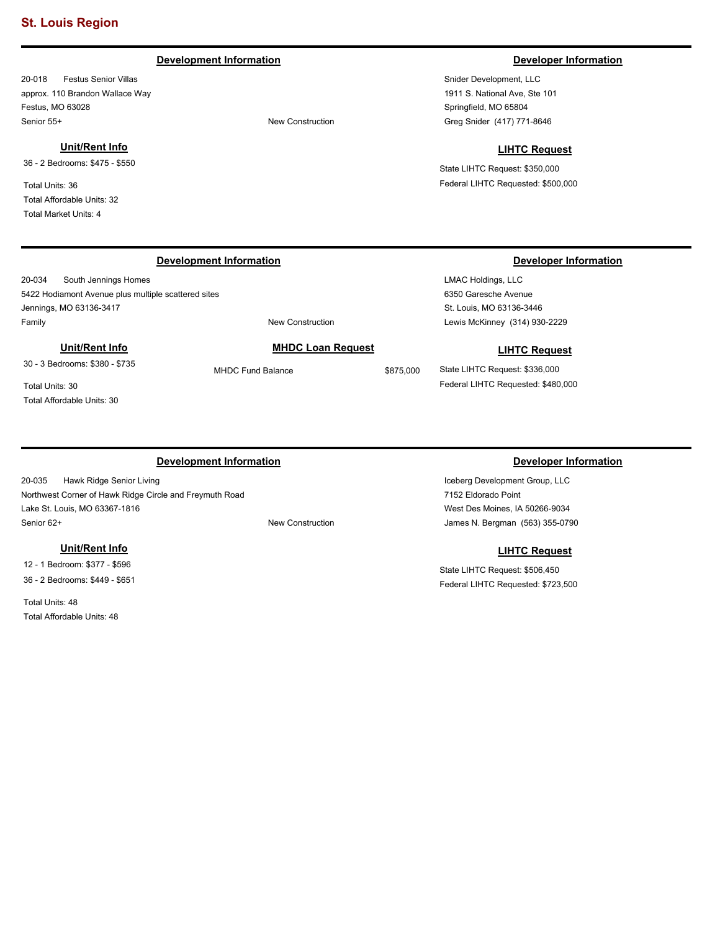### **Development Information Developer Information**

20-018 Festus Senior Villas approx. 110 Brandon Wallace Way Festus, MO 63028 Senior 55+ New Construction

#### **Unit/Rent Info**

36 - 2 Bedrooms: \$475 - \$550

Total Units: 36 Total Affordable Units: 32 Total Market Units: 4

#### **Development Information Developer Information**

20-034 South Jennings Homes 5422 Hodiamont Avenue plus multiple scattered sites Jennings, MO 63136-3417 Family **Family Example 2018 New Construction** 

#### **Unit/Rent Info**

30 - 3 Bedrooms: \$380 - \$735

Total Units: 30 Total Affordable Units: 30

### **Development Information Developer Information**

20-035 Hawk Ridge Senior Living Northwest Corner of Hawk Ridge Circle and Freymuth Road Lake St. Louis, MO 63367-1816 Senior 62+ New Construction

### **Unit/Rent Info**

12 - 1 Bedroom: \$377 - \$596 36 - 2 Bedrooms: \$449 - \$651

Total Units: 48 Total Affordable Units: 48

# Snider Development, LLC

1911 S. National Ave, Ste 101 Springfield, MO 65804 Greg Snider (417) 771-8646

#### **LIHTC Request**

State LIHTC Request: \$350,000 Federal LIHTC Requested: \$500,000

LMAC Holdings, LLC 6350 Garesche Avenue St. Louis, MO 63136-3446 Lewis McKinney (314) 930-2229

#### **LIHTC Request**

State LIHTC Request: \$336,000 Federal LIHTC Requested: \$480,000

Iceberg Development Group, LLC 7152 Eldorado Point West Des Moines, IA 50266-9034 James N. Bergman (563) 355-0790

### **LIHTC Request**

State LIHTC Request: \$506,450 Federal LIHTC Requested: \$723,500

# **MHDC Loan Request**

MHDC Fund Balance \$875,000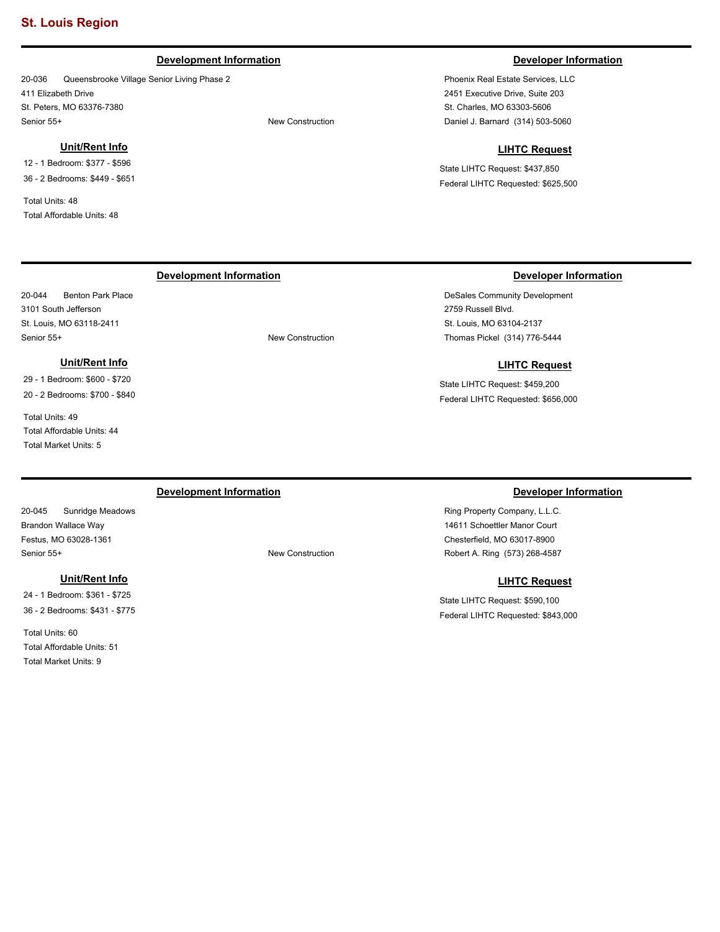### **Development Information Developer Information**

20-036 Queensbrooke Village Senior Living Phase 2 411 Elizabeth Drive St. Peters, MO 63376-7380 Senior 55+ New Construction

#### **Unit/Rent Info**

12 - 1 Bedroom: \$377 - \$596 36 - 2 Bedrooms: \$449 - \$651

Total Units: 48 Total Affordable Units: 48

20-044 Benton Park Place 3101 South Jefferson St. Louis, MO 63118-2411

Total Units: 49

Total Affordable Units: 44 Total Market Units: 5

**Unit/Rent Info** 29 - 1 Bedroom: \$600 - \$720 20 - 2 Bedrooms: \$700 - \$840

Phoenix Real Estate Services, LLC 2451 Executive Drive, Suite 203 St. Charles, MO 63303-5606 Daniel J. Barnard (314) 503-5060

#### **LIHTC Request**

State LIHTC Request: \$437,850 Federal LIHTC Requested: \$625,500

#### **Development Information Developer Information**

DeSales Community Development 2759 Russell Blvd. St. Louis, MO 63104-2137 Thomas Pickel (314) 776-5444

#### **LIHTC Request**

State LIHTC Request: \$459,200 Federal LIHTC Requested: \$656,000

20-045 Sunridge Meadows Brandon Wallace Way Festus, MO 63028-1361 Senior 55+ New Construction

#### **Unit/Rent Info**

24 - 1 Bedroom: \$361 - \$725 36 - 2 Bedrooms: \$431 - \$775

Total Units: 60 Total Affordable Units: 51 Total Market Units: 9

**Development Information Developer Information** 

Ring Property Company, L.L.C. 14611 Schoettler Manor Court Chesterfield, MO 63017-8900 Robert A. Ring (573) 268-4587

### **LIHTC Request**

State LIHTC Request: \$590,100 Federal LIHTC Requested: \$843,000

Senior 55+ New Construction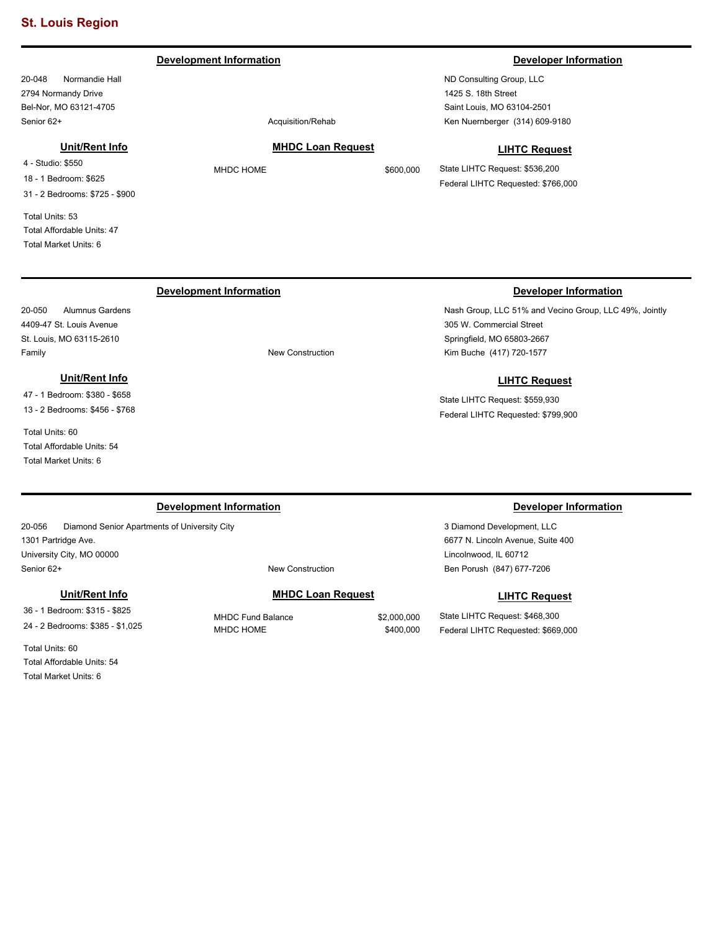**Development Information Developer Information** 

20-048 Normandie Hall 2794 Normandy Drive Bel-Nor, MO 63121-4705 Senior 62+ Acquisition/Rehabition Acquisition Acquisition Acquisition Acquisition Acquisition Acquisition Acquisition Acquisition Acquisition Acquisition Acquisition Acquisition Acquisition Acquisition Acquisition Acquisit

### **Unit/Rent Info**

4 - Studio: \$550 18 - 1 Bedroom: \$625 31 - 2 Bedrooms: \$725 - \$900

Total Units: 53 Total Affordable Units: 47 Total Market Units: 6

20-050 Alumnus Gardens 4409-47 St. Louis Avenue St. Louis, MO 63115-2610

## **MHDC Loan Request**

## **LIHTC Request**

State LIHTC Request: \$536,200 Federal LIHTC Requested: \$766,000

### **Development Information Developer Information**

Family **Family Family New Construction** 

### **Unit/Rent Info**

47 - 1 Bedroom: \$380 - \$658 13 - 2 Bedrooms: \$456 - \$768

Total Units: 60 Total Affordable Units: 54 Total Market Units: 6

#### **Development Information Developer Information**

20-056 Diamond Senior Apartments of University City 1301 Partridge Ave. University City, MO 00000 Senior 62+ New Construction

#### **Unit/Rent Info**

36 - 1 Bedroom: \$315 - \$825 24 - 2 Bedrooms: \$385 - \$1,025

Total Units: 60 Total Affordable Units: 54 Total Market Units: 6

#### **MHDC Loan Request**

MHDC Fund Balance \$2,000,000 MHDC HOME \$400,000

# **LIHTC Request**

State LIHTC Request: \$468,300 Federal LIHTC Requested: \$669,000

3 Diamond Development, LLC 6677 N. Lincoln Avenue, Suite 400

Ben Porush (847) 677-7206

Lincolnwood, IL 60712

Nash Group, LLC 51% and Vecino Group, LLC 49%, Jointly 305 W. Commercial Street Springfield, MO 65803-2667 Kim Buche (417) 720-1577

### **LIHTC Request**

State LIHTC Request: \$559,930 Federal LIHTC Requested: \$799,900

ND Consulting Group, LLC 1425 S. 18th Street Saint Louis, MO 63104-2501 Ken Nuernberger (314) 609-9180

# MHDC HOME \$600,000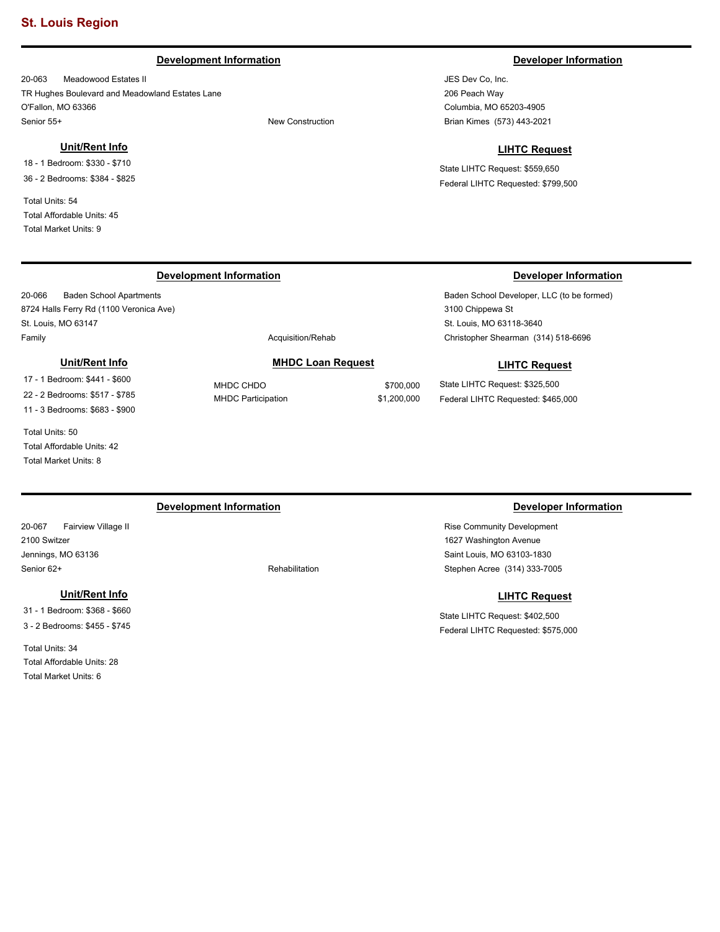#### **Development Information Developer Information**

20-063 Meadowood Estates II TR Hughes Boulevard and Meadowland Estates Lane O'Fallon, MO 63366 Senior 55+ New Construction

#### **Unit/Rent Info**

18 - 1 Bedroom: \$330 - \$710 36 - 2 Bedrooms: \$384 - \$825

Total Units: 54 Total Affordable Units: 45 Total Market Units: 9

JES Dev Co, Inc. 206 Peach Way Columbia, MO 65203-4905 Brian Kimes (573) 443-2021

#### **LIHTC Request**

State LIHTC Request: \$559,650 Federal LIHTC Requested: \$799,500

### **Development Information Developer Information**

20-066 Baden School Apartments 8724 Halls Ferry Rd (1100 Veronica Ave) St. Louis, MO 63147 Family **Acquisition/Rehab Acquisition/Rehab** 

#### **Unit/Rent Info**

17 - 1 Bedroom: \$441 - \$600 22 - 2 Bedrooms: \$517 - \$785 11 - 3 Bedrooms: \$683 - \$900

Total Units: 50 Total Affordable Units: 42 Total Market Units: 8

### **MHDC Loan Request**

MHDC CHDO \$700,000 MHDC Participation  $$1,200,000$ 

Baden School Developer, LLC (to be formed) 3100 Chippewa St St. Louis, MO 63118-3640 Christopher Shearman (314) 518-6696

#### **LIHTC Request**

State LIHTC Request: \$325,500 Federal LIHTC Requested: \$465,000

#### **Development Information Developer Information**

20-067 Fairview Village II 2100 Switzer Jennings, MO 63136 Senior 62+ Rehabilitation

#### **Unit/Rent Info**

31 - 1 Bedroom: \$368 - \$660 3 - 2 Bedrooms: \$455 - \$745

Total Units: 34 Total Affordable Units: 28 Total Market Units: 6

Rise Community Development 1627 Washington Avenue Saint Louis, MO 63103-1830 Stephen Acree (314) 333-7005

#### **LIHTC Request**

State LIHTC Request: \$402,500 Federal LIHTC Requested: \$575,000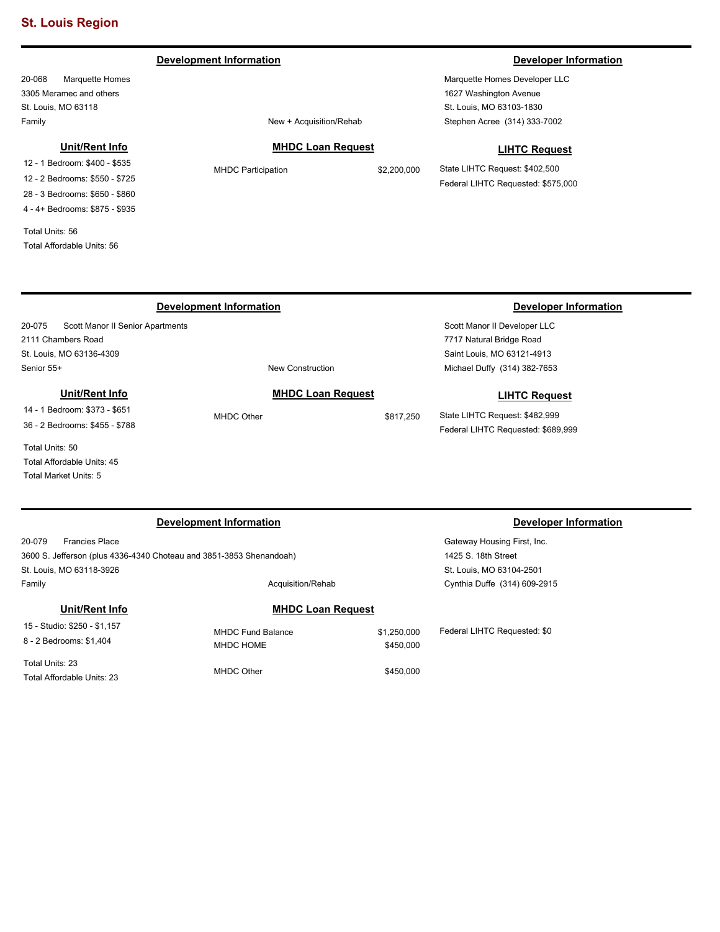### **Development Information Developer Information**

20-068 Marquette Homes 3305 Meramec and others St. Louis, MO 63118 Family **Family Family Example 2018 New + Acquisition/Rehab** 

**Unit/Rent Info** 12 - 1 Bedroom: \$400 - \$535 12 - 2 Bedrooms: \$550 - \$725 28 - 3 Bedrooms: \$650 - \$860 4 - 4+ Bedrooms: \$875 - \$935

Total Units: 56 Total Affordable Units: 56

### Stephen Acree (314) 333-7002

**MHDC Loan Request**

**LIHTC Request**

State LIHTC Request: \$402,500 Federal LIHTC Requested: \$575,000

Marquette Homes Developer LLC 1627 Washington Avenue St. Louis, MO 63103-1830

| <b>Development Information</b>             |            |                          |           | Developer Information              |
|--------------------------------------------|------------|--------------------------|-----------|------------------------------------|
| 20-075<br>Scott Manor II Senior Apartments |            |                          |           | Scott Manor II Developer LLC       |
| 2111 Chambers Road                         |            |                          |           | 7717 Natural Bridge Road           |
| St. Louis, MO 63136-4309                   |            |                          |           | Saint Louis, MO 63121-4913         |
| Senior 55+                                 |            | <b>New Construction</b>  |           | Michael Duffy (314) 382-7653       |
| Unit/Rent Info                             |            | <b>MHDC Loan Request</b> |           | <b>LIHTC Request</b>               |
| 14 - 1 Bedroom: \$373 - \$651              | MHDC Other |                          | \$817.250 | State LIHTC Request: \$482,999     |
| 36 - 2 Bedrooms: \$455 - \$788             |            |                          |           | Federal LIHTC Requested: \$689,999 |
| Total Units: 50                            |            |                          |           |                                    |
| Total Affordable Units: 45                 |            |                          |           |                                    |
| Total Market Units: 5                      |            |                          |           |                                    |

| <b>Development Information</b>                                      |                          |             | <b>Developer Information</b> |  |
|---------------------------------------------------------------------|--------------------------|-------------|------------------------------|--|
| 20-079<br><b>Francies Place</b>                                     |                          |             | Gateway Housing First, Inc.  |  |
| 3600 S. Jefferson (plus 4336-4340 Choteau and 3851-3853 Shenandoah) |                          |             | 1425 S. 18th Street          |  |
| St. Louis, MO 63118-3926                                            |                          |             | St. Louis, MO 63104-2501     |  |
| Family                                                              | Acquisition/Rehab        |             | Cynthia Duffe (314) 609-2915 |  |
| Unit/Rent Info                                                      | <b>MHDC Loan Request</b> |             |                              |  |
| 15 - Studio: \$250 - \$1,157                                        | <b>MHDC Fund Balance</b> | \$1,250,000 | Federal LIHTC Requested: \$0 |  |
| 8 - 2 Bedrooms: \$1.404                                             | MHDC HOME                | \$450,000   |                              |  |
| Total Units: 23                                                     |                          |             |                              |  |
| Total Affordable Units: 23                                          | MHDC Other               | \$450,000   |                              |  |

MHDC Participation  $$2,200,000$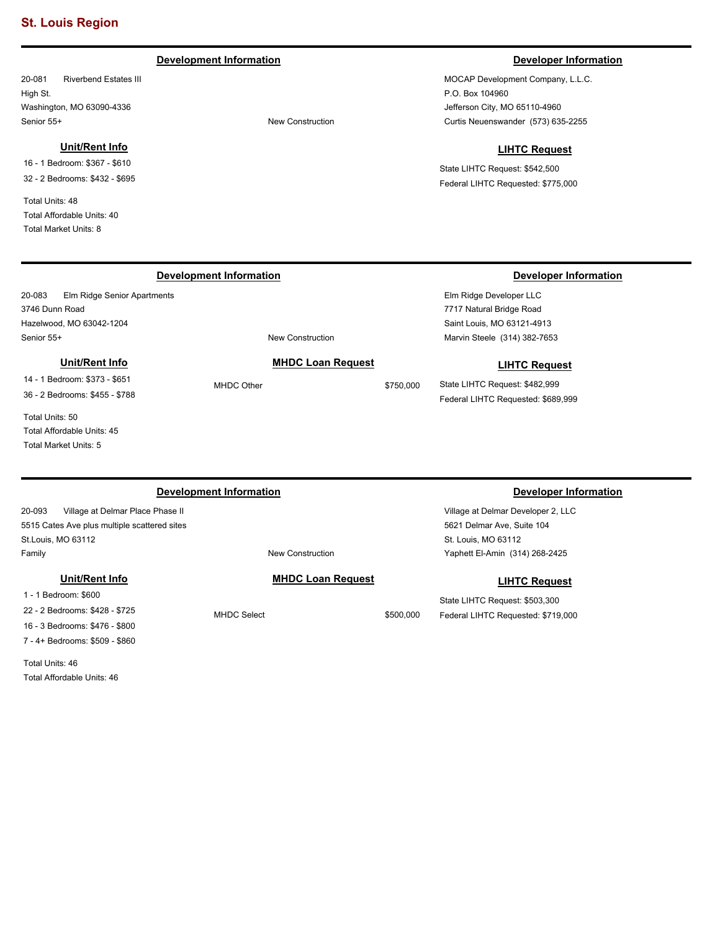### **Development Information Developer Information**

20-081 Riverbend Estates III High St. Washington, MO 63090-4336 Senior 55+ New Construction

#### **Unit/Rent Info**

20-083 Elm Ridge Senior Apartments

**Unit/Rent Info** 14 - 1 Bedroom: \$373 - \$651 36 - 2 Bedrooms: \$455 - \$788

16 - 1 Bedroom: \$367 - \$610 32 - 2 Bedrooms: \$432 - \$695

Total Units: 48 Total Affordable Units: 40 Total Market Units: 8

3746 Dunn Road

MOCAP Development Company, L.L.C. P.O. Box 104960 Jefferson City, MO 65110-4960 Curtis Neuenswander (573) 635-2255

### **LIHTC Request**

State LIHTC Request: \$542,500 Federal LIHTC Requested: \$775,000

### **Development Information Developer Information**

Elm Ridge Developer LLC 7717 Natural Bridge Road Saint Louis, MO 63121-4913 Marvin Steele (314) 382-7653

#### **LIHTC Request**

State LIHTC Request: \$482,999 Federal LIHTC Requested: \$689,999

Total Units: 50

Hazelwood, MO 63042-1204

Total Affordable Units: 45 Total Market Units: 5

Senior 55+ New Construction

20-093 Village at Delmar Place Phase II 5515 Cates Ave plus multiple scattered sites St.Louis, MO 63112 Family **Family Family New Construction** 

### **Unit/Rent Info**

1 - 1 Bedroom: \$600 22 - 2 Bedrooms: \$428 - \$725 16 - 3 Bedrooms: \$476 - \$800 7 - 4+ Bedrooms: \$509 - \$860

Total Units: 46 Total Affordable Units: 46

#### **MHDC Loan Request**

**MHDC Loan Request** MHDC Other \$750,000

MHDC Select \$500,000

#### **Development Information Developer Information**

Village at Delmar Developer 2, LLC 5621 Delmar Ave, Suite 104 St. Louis, MO 63112 Yaphett El-Amin (314) 268-2425

#### **LIHTC Request**

State LIHTC Request: \$503,300 Federal LIHTC Requested: \$719,000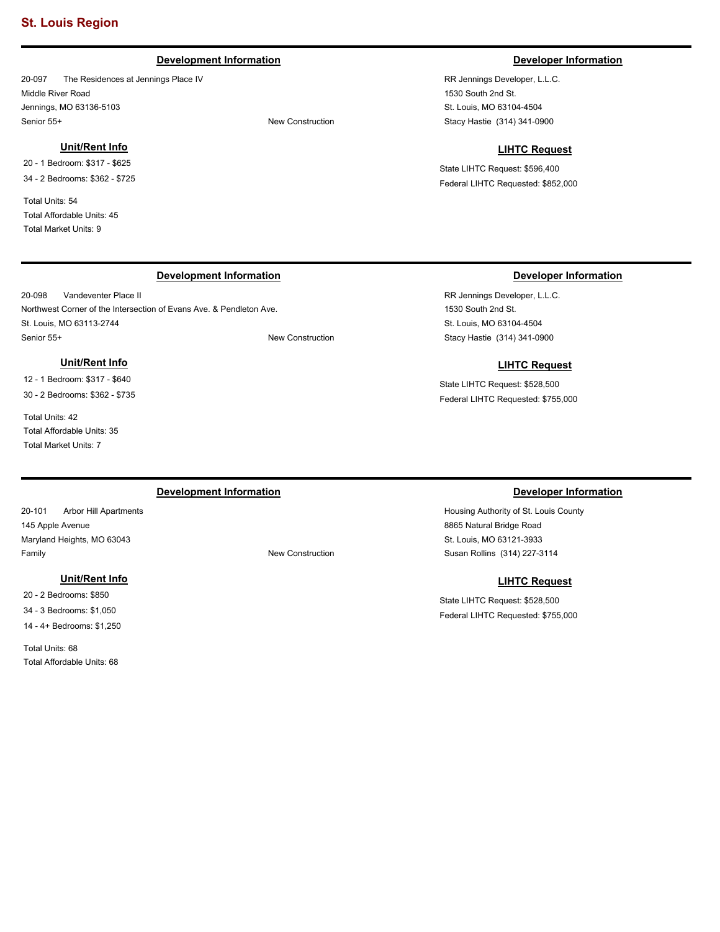#### **Development Information Developer Information**

20-097 The Residences at Jennings Place IV Middle River Road Jennings, MO 63136-5103 Senior 55+ New Construction

#### **Unit/Rent Info**

20 - 1 Bedroom: \$317 - \$625 34 - 2 Bedrooms: \$362 - \$725

Total Units: 54 Total Affordable Units: 45 Total Market Units: 9

20-098 Vandeventer Place II

**Unit/Rent Info** 12 - 1 Bedroom: \$317 - \$640 30 - 2 Bedrooms: \$362 - \$735

St. Louis, MO 63113-2744

Total Affordable Units: 35 Total Market Units: 7

Total Units: 42

Northwest Corner of the Intersection of Evans Ave. & Pendleton Ave.

Senior 55+ New Construction

RR Jennings Developer, L.L.C. 1530 South 2nd St. St. Louis, MO 63104-4504 Stacy Hastie (314) 341-0900

#### **LIHTC Request**

State LIHTC Request: \$596,400 Federal LIHTC Requested: \$852,000

### **Development Information Developer Information Developer Information**

RR Jennings Developer, L.L.C. 1530 South 2nd St. St. Louis, MO 63104-4504 Stacy Hastie (314) 341-0900

#### **LIHTC Request**

State LIHTC Request: \$528,500 Federal LIHTC Requested: \$755,000

20-101 Arbor Hill Apartments 145 Apple Avenue Maryland Heights, MO 63043 Family **Family Family New Construction** 

### **Unit/Rent Info**

20 - 2 Bedrooms: \$850 34 - 3 Bedrooms: \$1,050 14 - 4+ Bedrooms: \$1,250

Total Units: 68 Total Affordable Units: 68

### **Development Information Developer Information**

Housing Authority of St. Louis County 8865 Natural Bridge Road St. Louis, MO 63121-3933 Susan Rollins (314) 227-3114

#### **LIHTC Request**

State LIHTC Request: \$528,500 Federal LIHTC Requested: \$755,000